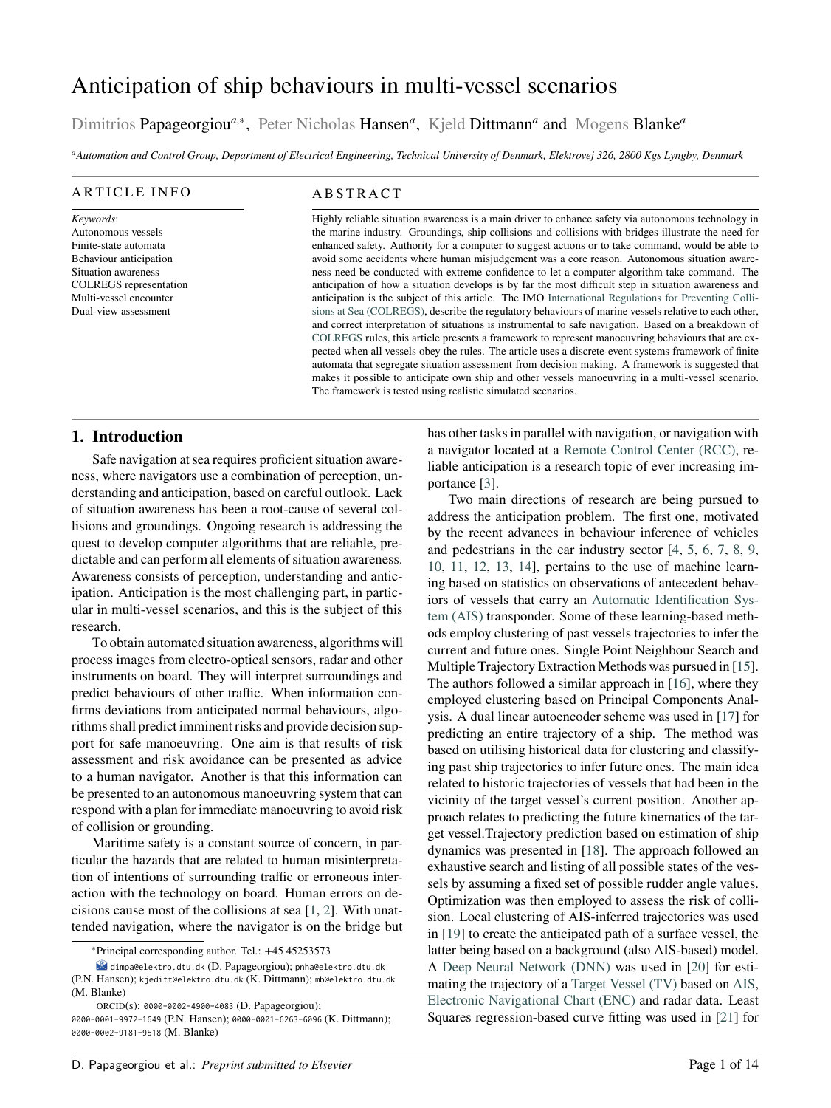# <span id="page-0-0"></span>Anticipation of ship behaviours in multi-vessel scenarios

Dimitrios Papageorgiou<sup>a,\*</sup>, Peter Nicholas Hansen<sup>a</sup>, Kjeld Dittmann<sup>a</sup> and Mogens Blanke<sup>a</sup>

*<sup>a</sup>Automation and Control Group, Department of Electrical Engineering, Technical University of Denmark, Elektrovej 326, 2800 Kgs Lyngby, Denmark*

#### ARTICLE INFO

*Keywords*: Autonomous vessels Finite-state automata Behaviour anticipation Situation awareness COLREGS representation Multi-vessel encounter Dual-view assessment

# **ABSTRACT**

Highly reliable situation awareness is a main driver to enhance safety via autonomous technology in the marine industry. Groundings, ship collisions and collisions with bridges illustrate the need for enhanced safety. Authority for a computer to suggest actions or to take command, would be able to avoid some accidents where human misjudgement was a core reason. Autonomous situation awareness need be conducted with extreme confidence to let a computer algorithm take command. The anticipation of how a situation develops is by far the most difficult step in situation awareness and anticipation is the subject of this article. The IMO International Regulations for Preventing Collisions at Sea (COLREGS), describe the regulatory behaviours of marine vessels relative to each other, and correct interpretation of situations is instrumental to safe navigation. Based on a breakdown of COLREGS rules, this article presents a framework to represent manoeuvring behaviours that are expected when all vessels obey the rules. The article uses a discrete-event systems framework of finite automata that segregate situation assessment from decision making. A framework is suggested that makes it possible to anticipate own ship and other vessels manoeuvring in a multi-vessel scenario. The framework is tested using realistic simulated scenarios.

# **1. Introduction**

Safe navigation at sea requires proficient situation awareness, where navigators use a combination of perception, understanding and anticipation, based on careful outlook. Lack of situation awareness has been a root-cause of several collisions and groundings. Ongoing research is addressing the quest to develop computer algorithms that are reliable, predictable and can perform all elements of situation awareness. Awareness consists of perception, understanding and anticipation. Anticipation is the most challenging part, in particular in multi-vessel scenarios, and this is the subject of this research.

To obtain automated situation awareness, algorithms will process images from electro-optical sensors, radar and other instruments on board. They will interpret surroundings and predict behaviours of other traffic. When information confirms deviations from anticipated normal behaviours, algorithms shall predict imminent risks and provide decision support for safe manoeuvring. One aim is that results of risk assessment and risk avoidance can be presented as advice to a human navigator. Another is that this information can be presented to an autonomous manoeuvring system that can respond with a plan for immediate manoeuvring to avoid risk of collision or grounding.

Maritime safety is a constant source of concern, in particular the hazards that are related to human misinterpretation of intentions of surrounding traffic or erroneous interaction with the technology on board. Human errors on decisions cause most of the collisions at sea [\[1,](#page-12-0) [2\]](#page-12-1). With unattended navigation, where the navigator is on the bridge but

ORCID(s): 0000-0002-4900-4083 (D. Papageorgiou);

has other tasks in parallel with navigation, or navigation with a navigator located at a Remote Control Center (RCC), reliable anticipation is a research topic of ever increasing importance [\[3\]](#page-12-2).

Two main directions of research are being pursued to address the anticipation problem. The first one, motivated by the recent advances in behaviour inference of vehicles and pedestrians in the car industry sector [\[4,](#page-12-3) [5,](#page-12-4) [6,](#page-12-5) [7,](#page-12-6) [8,](#page-12-7) [9,](#page-12-8) [10,](#page-12-9) [11,](#page-12-10) [12,](#page-12-11) [13,](#page-12-12) [14\]](#page-12-13), pertains to the use of machine learning based on statistics on observations of antecedent behaviors of vessels that carry an Automatic Identification System (AIS) transponder. Some of these learning-based methods employ clustering of past vessels trajectories to infer the current and future ones. Single Point Neighbour Search and Multiple Trajectory Extraction Methods was pursued in [\[15\]](#page-12-14). The authors followed a similar approach in [\[16\]](#page-12-15), where they employed clustering based on Principal Components Analysis. A dual linear autoencoder scheme was used in [\[17\]](#page-12-16) for predicting an entire trajectory of a ship. The method was based on utilising historical data for clustering and classifying past ship trajectories to infer future ones. The main idea related to historic trajectories of vessels that had been in the vicinity of the target vessel's current position. Another approach relates to predicting the future kinematics of the target vessel.Trajectory prediction based on estimation of ship dynamics was presented in [\[18\]](#page-12-17). The approach followed an exhaustive search and listing of all possible states of the vessels by assuming a fixed set of possible rudder angle values. Optimization was then employed to assess the risk of collision. Local clustering of AIS-inferred trajectories was used in [\[19\]](#page-12-18) to create the anticipated path of a surface vessel, the latter being based on a background (also AIS-based) model. A Deep Neural Network (DNN) was used in [\[20\]](#page-12-19) for estimating the trajectory of a Target Vessel (TV) based on AIS, Electronic Navigational Chart (ENC) and radar data. Least Squares regression-based curve fitting was used in [\[21\]](#page-12-20) for

<sup>∗</sup>Principal corresponding author. Tel.: +45 45253573

dimpa@elektro.dtu.dk (D. Papageorgiou); pnha@elektro.dtu.dk (P.N. Hansen); kjeditt@elektro.dtu.dk (K. Dittmann); mb@elektro.dtu.dk (M. Blanke)

<sup>0000-0001-9972-1649</sup> (P.N. Hansen); 0000-0001-6263-6096 (K. Dittmann); 0000-0002-9181-9518 (M. Blanke)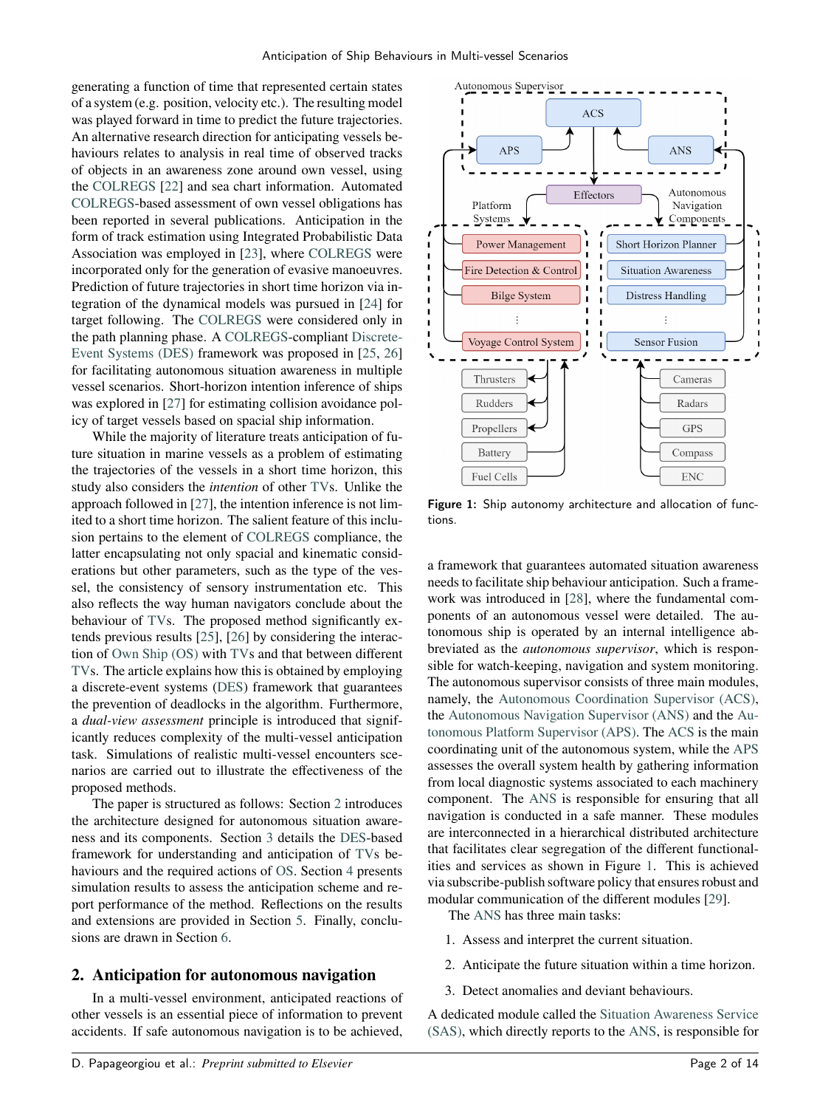generating a function of time that represented certain states of a system (e.g. position, velocity etc.). The resulting model was played forward in time to predict the future trajectories. An alternative research direction for anticipating vessels behaviours relates to analysis in real time of observed tracks of objects in an awareness zone around own vessel, using the [COLREGS](#page-0-0) [\[22\]](#page-12-21) and sea chart information. Automated [COLREGS-](#page-0-0)based assessment of own vessel obligations has been reported in several publications. Anticipation in the form of track estimation using Integrated Probabilistic Data Association was employed in [\[23\]](#page-12-22), where [COLREGS](#page-0-0) were incorporated only for the generation of evasive manoeuvres. Prediction of future trajectories in short time horizon via integration of the dynamical models was pursued in [\[24\]](#page-12-23) for target following. The [COLREGS](#page-0-0) were considered only in the path planning phase. A [COLREGS-](#page-0-0)compliant [Discrete-](#page-0-0)[Event Systems \(DES\)](#page-0-0) framework was proposed in [\[25,](#page-12-24) [26\]](#page-12-25) for facilitating autonomous situation awareness in multiple vessel scenarios. Short-horizon intention inference of ships was explored in [\[27\]](#page-12-26) for estimating collision avoidance policy of target vessels based on spacial ship information.

While the majority of literature treats anticipation of future situation in marine vessels as a problem of estimating the trajectories of the vessels in a short time horizon, this study also considers the *intention* of other [TVs](#page-0-0). Unlike the approach followed in [\[27\]](#page-12-26), the intention inference is not limited to a short time horizon. The salient feature of this inclusion pertains to the element of [COLREGS](#page-0-0) compliance, the latter encapsulating not only spacial and kinematic considerations but other parameters, such as the type of the vessel, the consistency of sensory instrumentation etc. This also reflects the way human navigators conclude about the behaviour of [TVs](#page-0-0). The proposed method significantly extends previous results [\[25\]](#page-12-24), [\[26\]](#page-12-25) by considering the interaction of [Own Ship \(OS\)](#page-0-0) with [TVs](#page-0-0) and that between different [TVs](#page-0-0). The article explains how this is obtained by employing a discrete-event systems [\(DES\)](#page-0-0) framework that guarantees the prevention of deadlocks in the algorithm. Furthermore, a *dual-view assessment* principle is introduced that significantly reduces complexity of the multi-vessel anticipation task. Simulations of realistic multi-vessel encounters scenarios are carried out to illustrate the effectiveness of the proposed methods.

The paper is structured as follows: Section [2](#page-1-0) introduces the architecture designed for autonomous situation awareness and its components. Section [3](#page-2-0) details the [DES-](#page-0-0)based framework for understanding and anticipation of [TVs](#page-0-0) behaviours and the required actions of [OS.](#page-0-0) Section [4](#page-7-0) presents simulation results to assess the anticipation scheme and report performance of the method. Reflections on the results and extensions are provided in Section [5.](#page-10-0) Finally, conclusions are drawn in Section [6.](#page-10-1)

# <span id="page-1-0"></span>**2. Anticipation for autonomous navigation**

In a multi-vessel environment, anticipated reactions of other vessels is an essential piece of information to prevent accidents. If safe autonomous navigation is to be achieved,

<span id="page-1-1"></span>

Figure 1: Ship autonomy architecture and allocation of functions.

a framework that guarantees automated situation awareness needs to facilitate ship behaviour anticipation. Such a framework was introduced in [\[28\]](#page-12-27), where the fundamental components of an autonomous vessel were detailed. The autonomous ship is operated by an internal intelligence abbreviated as the *autonomous supervisor*, which is responsible for watch-keeping, navigation and system monitoring. The autonomous supervisor consists of three main modules, namely, the [Autonomous Coordination Supervisor \(ACS\),](#page-0-0) the [Autonomous Navigation Supervisor \(ANS\)](#page-0-0) and the [Au](#page-0-0)[tonomous Platform Supervisor \(APS\).](#page-0-0) The [ACS](#page-0-0) is the main coordinating unit of the autonomous system, while the [APS](#page-0-0) assesses the overall system health by gathering information from local diagnostic systems associated to each machinery component. The [ANS](#page-0-0) is responsible for ensuring that all navigation is conducted in a safe manner. These modules are interconnected in a hierarchical distributed architecture that facilitates clear segregation of the different functionalities and services as shown in Figure [1.](#page-1-1) This is achieved via subscribe-publish software policy that ensures robust and modular communication of the different modules [\[29\]](#page-12-28).

The [ANS](#page-0-0) has three main tasks:

- 1. Assess and interpret the current situation.
- 2. Anticipate the future situation within a time horizon.
- 3. Detect anomalies and deviant behaviours.

A dedicated module called the [Situation Awareness Service](#page-0-0) [\(SAS\),](#page-0-0) which directly reports to the [ANS,](#page-0-0) is responsible for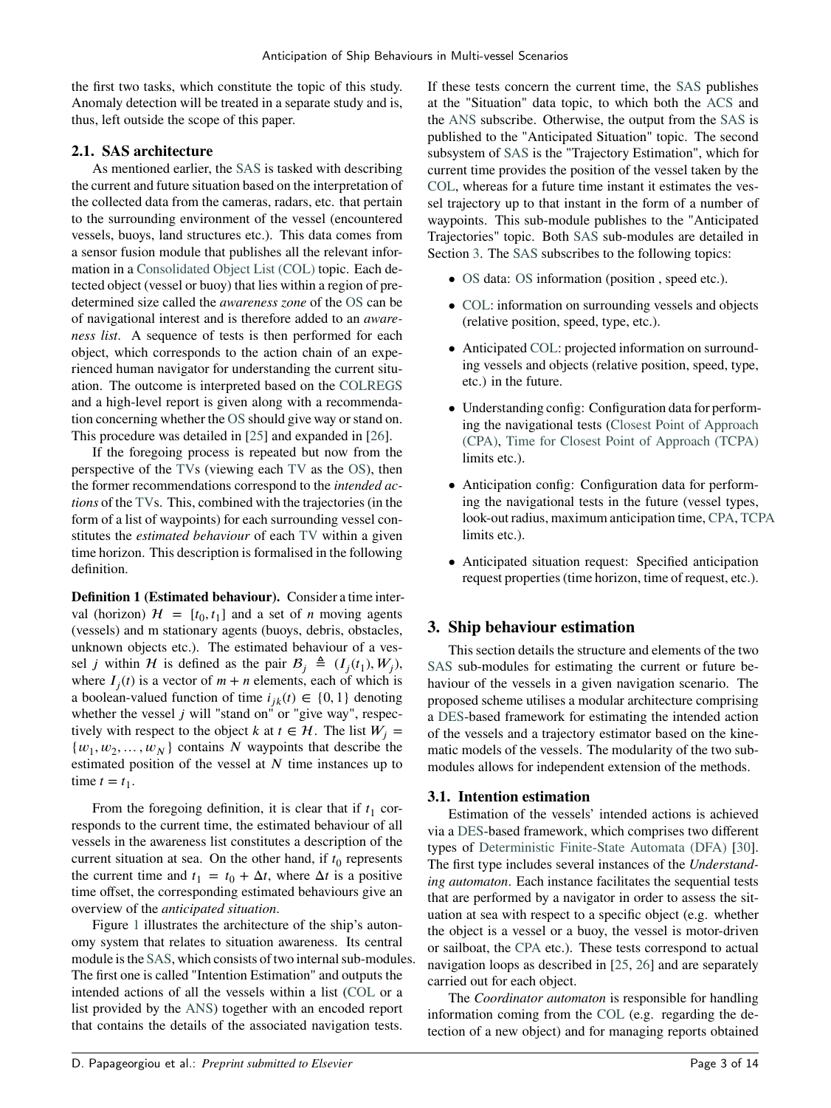the first two tasks, which constitute the topic of this study. Anomaly detection will be treated in a separate study and is, thus, left outside the scope of this paper.

# **2.1. SAS architecture**

As mentioned earlier, the [SAS](#page-0-0) is tasked with describing the current and future situation based on the interpretation of the collected data from the cameras, radars, etc. that pertain to the surrounding environment of the vessel (encountered vessels, buoys, land structures etc.). This data comes from a sensor fusion module that publishes all the relevant information in a [Consolidated Object List \(COL\)](#page-0-0) topic. Each detected object (vessel or buoy) that lies within a region of predetermined size called the *awareness zone* of the [OS](#page-0-0) can be of navigational interest and is therefore added to an *awareness list*. A sequence of tests is then performed for each object, which corresponds to the action chain of an experienced human navigator for understanding the current situation. The outcome is interpreted based on the [COLREGS](#page-0-0) and a high-level report is given along with a recommendation concerning whether the [OS](#page-0-0) should give way or stand on. This procedure was detailed in [\[25\]](#page-12-24) and expanded in [\[26\]](#page-12-25).

If the foregoing process is repeated but now from the perspective of the [TVs](#page-0-0) (viewing each [TV](#page-0-0) as the [OS\)](#page-0-0), then the former recommendations correspond to the *intended actions* of the [TVs](#page-0-0). This, combined with the trajectories (in the form of a list of waypoints) for each surrounding vessel constitutes the *estimated behaviour* of each [TV](#page-0-0) within a given time horizon. This description is formalised in the following definition.

<span id="page-2-1"></span>**Definition 1 (Estimated behaviour).** Consider a time interval (horizon)  $H = [t_0, t_1]$  and a set of *n* moving agents (vessels) and m stationary agents (buoys, debris, obstacles, unknown objects etc.). The estimated behaviour of a vessel *j* within *H* is defined as the pair  $B_j \triangleq (I_j(t_1), W_j)$ , where  $I_j(t)$  is a vector of  $m + n$  elements, each of which is a boolean-valued function of time  $i_{jk}(t) \in \{0, 1\}$  denoting whether the vessel  $j$  will "stand on" or "give way", respectively with respect to the object *k* at  $t \in \mathcal{H}$ . The list  $W_i =$  $\{w_1, w_2, \ldots, w_N\}$  contains *N* waypoints that describe the estimated position of the vessel at *N* time instances up to time  $t = t_1$ .

From the foregoing definition, it is clear that if  $t_1$  corresponds to the current time, the estimated behaviour of all vessels in the awareness list constitutes a description of the current situation at sea. On the other hand, if  $t_0$  represents the current time and  $t_1 = t_0 + \Delta t$ , where  $\Delta t$  is a positive time offset, the corresponding estimated behaviours give an overview of the *anticipated situation*.

Figure [1](#page-1-1) illustrates the architecture of the ship's autonomy system that relates to situation awareness. Its central module is the [SAS,](#page-0-0) which consists of two internal sub-modules. The first one is called "Intention Estimation" and outputs the intended actions of all the vessels within a list [\(COL](#page-0-0) or a list provided by the [ANS\)](#page-0-0) together with an encoded report that contains the details of the associated navigation tests.

If these tests concern the current time, the [SAS](#page-0-0) publishes at the "Situation" data topic, to which both the [ACS](#page-0-0) and the [ANS](#page-0-0) subscribe. Otherwise, the output from the [SAS](#page-0-0) is published to the "Anticipated Situation" topic. The second subsystem of [SAS](#page-0-0) is the "Trajectory Estimation", which for current time provides the position of the vessel taken by the [COL,](#page-0-0) whereas for a future time instant it estimates the vessel trajectory up to that instant in the form of a number of waypoints. This sub-module publishes to the "Anticipated Trajectories" topic. Both [SAS](#page-0-0) sub-modules are detailed in Section [3.](#page-2-0) The [SAS](#page-0-0) subscribes to the following topics:

- [OS](#page-0-0) data: OS information (position, speed etc.).
- [COL:](#page-0-0) information on surrounding vessels and objects (relative position, speed, type, etc.).
- Anticipated [COL:](#page-0-0) projected information on surrounding vessels and objects (relative position, speed, type, etc.) in the future.
- Understanding config: Configuration data for performing the navigational tests [\(Closest Point of Approach](#page-0-0) [\(CPA\),](#page-0-0) [Time for Closest Point of Approach \(TCPA\)](#page-0-0) limits etc.).
- Anticipation config: Configuration data for performing the navigational tests in the future (vessel types, look-out radius, maximum anticipation time, [CPA,](#page-0-0) [TCPA](#page-0-0) limits etc.).
- Anticipated situation request: Specified anticipation request properties (time horizon, time of request, etc.).

# <span id="page-2-0"></span>**3. Ship behaviour estimation**

This section details the structure and elements of the two [SAS](#page-0-0) sub-modules for estimating the current or future behaviour of the vessels in a given navigation scenario. The proposed scheme utilises a modular architecture comprising a [DES-](#page-0-0)based framework for estimating the intended action of the vessels and a trajectory estimator based on the kinematic models of the vessels. The modularity of the two submodules allows for independent extension of the methods.

# **3.1. Intention estimation**

Estimation of the vessels' intended actions is achieved via a [DES-](#page-0-0)based framework, which comprises two different types of [Deterministic Finite-State Automata \(DFA\)](#page-0-0) [\[30\]](#page-12-29). The first type includes several instances of the *Understanding automaton*. Each instance facilitates the sequential tests that are performed by a navigator in order to assess the situation at sea with respect to a specific object (e.g. whether the object is a vessel or a buoy, the vessel is motor-driven or sailboat, the [CPA](#page-0-0) etc.). These tests correspond to actual navigation loops as described in [\[25,](#page-12-24) [26\]](#page-12-25) and are separately carried out for each object.

The *Coordinator automaton* is responsible for handling information coming from the [COL](#page-0-0) (e.g. regarding the detection of a new object) and for managing reports obtained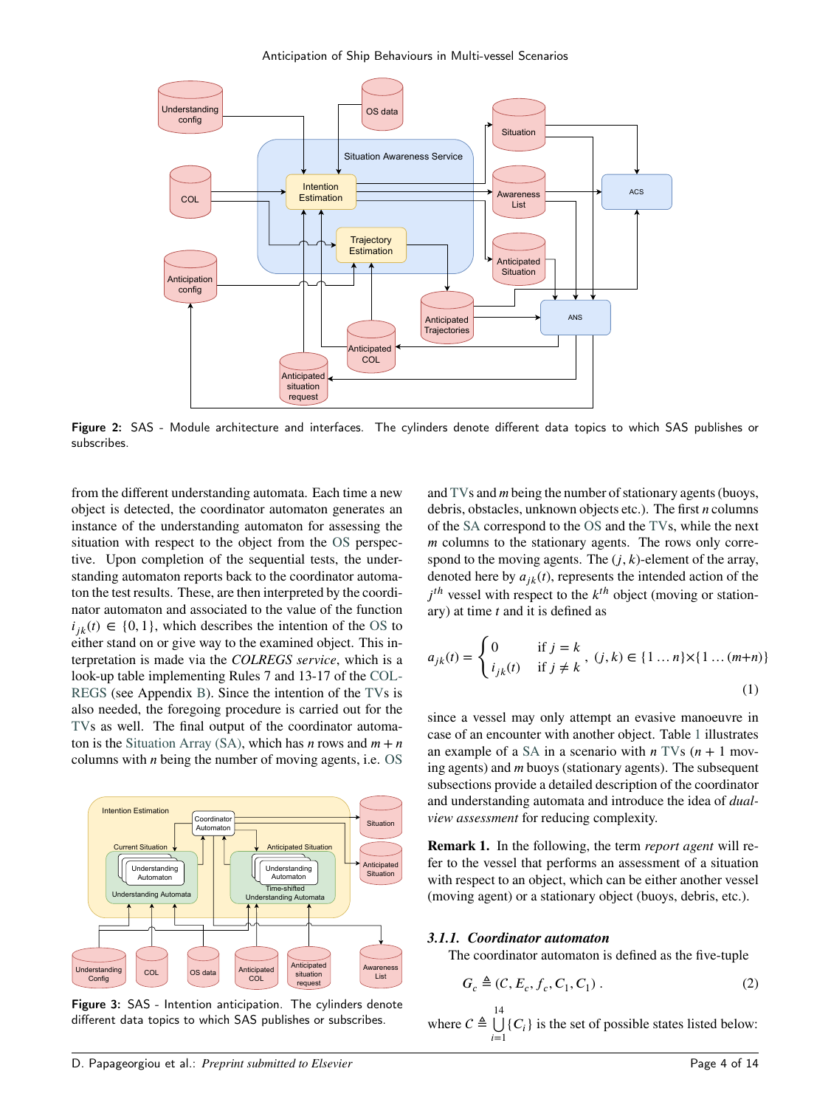Anticipation of Ship Behaviours in Multi-vessel Scenarios



Figure 2: SAS - Module architecture and interfaces. The cylinders denote different data topics to which SAS publishes or subscribes.

from the different understanding automata. Each time a new object is detected, the coordinator automaton generates an instance of the understanding automaton for assessing the situation with respect to the object from the [OS](#page-0-0) perspective. Upon completion of the sequential tests, the understanding automaton reports back to the coordinator automaton the test results. These, are then interpreted by the coordinator automaton and associated to the value of the function  $i_{jk}(t) \in \{0, 1\}$ , which describes the intention of the [OS](#page-0-0) to either stand on or give way to the examined object. This interpretation is made via the *COLREGS service*, which is a look-up table implementing Rules 7 and 13-17 of the [COL-](#page-0-0)[REGS](#page-0-0) (see Appendix [B\)](#page-11-0). Since the intention of the [TVs](#page-0-0) is also needed, the foregoing procedure is carried out for the [TVs](#page-0-0) as well. The final output of the coordinator automa-ton is the [Situation Array \(SA\),](#page-0-0) which has *n* rows and  $m + n$ columns with *n* being the number of moving agents, i.e. [OS](#page-0-0)



Figure 3: SAS - Intention anticipation. The cylinders denote different data topics to which SAS publishes or subscribes.

and [TVs](#page-0-0) and *m* being the number of stationary agents (buoys, debris, obstacles, unknown objects etc.). The first *n* columns of the [SA](#page-0-0) correspond to the [OS](#page-0-0) and the [TVs](#page-0-0), while the next *m* columns to the stationary agents. The rows only correspond to the moving agents. The  $(i, k)$ -element of the array, denoted here by  $a_{ik}(t)$ , represents the intended action of the  $j<sup>th</sup>$  vessel with respect to the  $k<sup>th</sup>$  object (moving or stationary) at time *𝑡* and it is defined as

$$
a_{jk}(t) = \begin{cases} 0 & \text{if } j = k \\ i_{jk}(t) & \text{if } j \neq k \end{cases}, (j,k) \in \{1 \dots n\} \times \{1 \dots (m+n)\}\
$$
\n(1)

since a vessel may only attempt an evasive manoeuvre in case of an encounter with another object. Table [1](#page-4-0) illustrates an example of a [SA](#page-0-0) in a scenario with  $n$  [TVs](#page-0-0)  $(n + 1$  moving agents) and *m* buoys (stationary agents). The subsequent subsections provide a detailed description of the coordinator and understanding automata and introduce the idea of *dualview assessment* for reducing complexity.

**Remark 1.** In the following, the term *report agent* will refer to the vessel that performs an assessment of a situation with respect to an object, which can be either another vessel (moving agent) or a stationary object (buoys, debris, etc.).

#### *3.1.1. Coordinator automaton*

The coordinator automaton is defined as the five-tuple

$$
G_c \triangleq (C, E_c, f_c, C_1, C_1).
$$
 (2)

where  $C \triangleq \bigcup^{14}$  $\bigcup_{i=1}$ {*C<sub>i</sub>*} is the set of possible states listed below: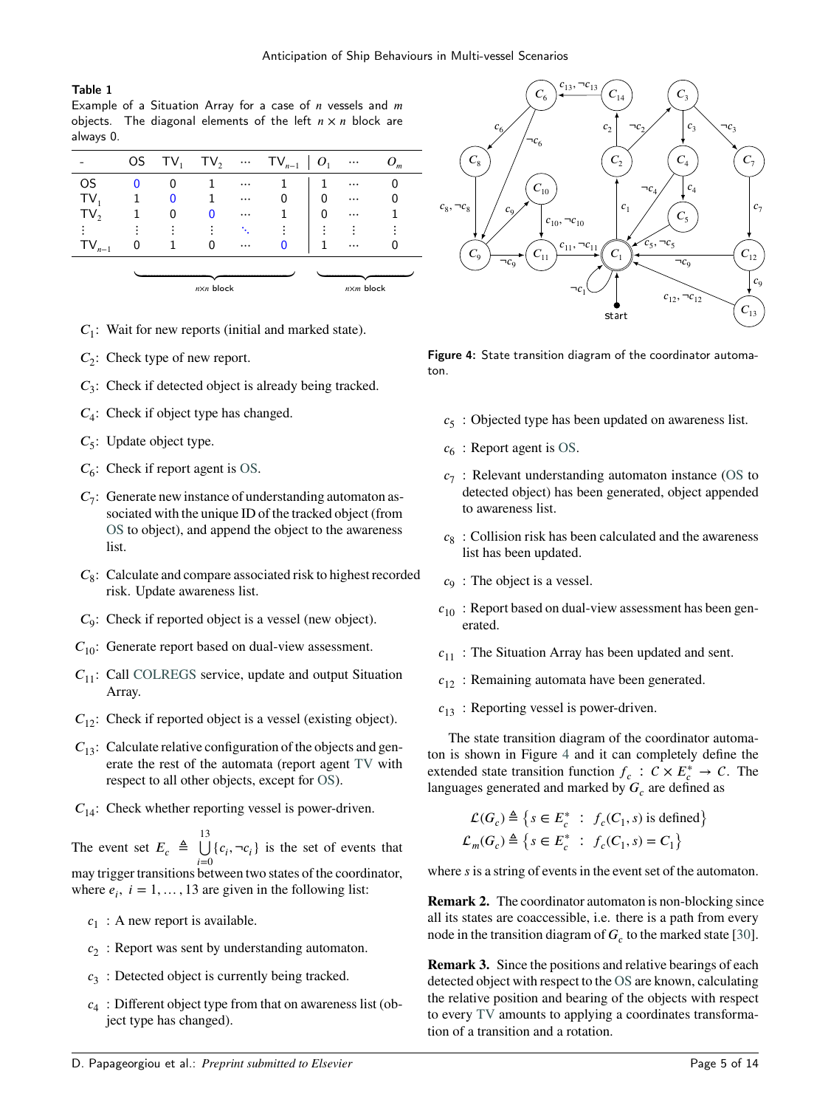## <span id="page-4-0"></span>Table 1

Example of a Situation Array for a case of *n* vessels and *m* objects. The diagonal elements of the left  $n \times n$  block are always 0.

|                 | OS TV <sub>1</sub> | $TV_2$             |          | $\cdots$ TV <sub>n-1</sub>   O <sub>1</sub> |   | $\cdots$           | $O_m$ |
|-----------------|--------------------|--------------------|----------|---------------------------------------------|---|--------------------|-------|
| OS              |                    |                    | $\cdots$ |                                             |   | $\cdots$           |       |
| $TV_1$          | 0                  |                    | $\cdots$ |                                             | 0 | $\cdots$           |       |
| TV <sub>2</sub> | 0                  | 0                  | $\cdots$ |                                             | O |                    |       |
|                 |                    |                    |          |                                             |   |                    |       |
| $TV_{n-1}$      |                    |                    | $\cdots$ |                                             |   | $\cdots$           |       |
|                 |                    | $n \times n$ block |          |                                             |   | $n \times m$ block |       |

 $C_1$ : Wait for new reports (initial and marked state).

- *C*<sub>2</sub>: Check type of new report.
- *𝐶*3 : Check if detected object is already being tracked.
- $C_4$ : Check if object type has changed.
- *C*<sub>5</sub>: Update object type.
- $C_6$ : Check if report agent is [OS.](#page-0-0)
- $C_7$ : Generate new instance of understanding automaton associated with the unique ID of the tracked object (from [OS](#page-0-0) to object), and append the object to the awareness list.
- *𝐶*8 : Calculate and compare associated risk to highest recorded risk. Update awareness list.
- *C*<sub>9</sub>: Check if reported object is a vessel (new object).
- $C_{10}$ : Generate report based on dual-view assessment.
- *C*<sub>11</sub>: Call [COLREGS](#page-0-0) service, update and output Situation Array.
- $C_{12}$ : Check if reported object is a vessel (existing object).
- $C_{13}$ : Calculate relative configuration of the objects and generate the rest of the automata (report agent [TV](#page-0-0) with respect to all other objects, except for [OS\)](#page-0-0).
- $C_{14}$ : Check whether reporting vessel is power-driven.

The event set  $E_c \triangleq \bigcup_{i=1}^{13}$  $\bigcup_{i=0}$  {*c<sub>i</sub>*, ¬*c<sub>i</sub>*} is the set of events that may trigger transitions between two states of the coordinator, where  $e_i$ ,  $i = 1, ..., 13$  are given in the following list:

- $c_1$ : A new report is available.
- *𝑐*2 : Report was sent by understanding automaton.
- $c_3$ : Detected object is currently being tracked.
- $c_4$ : Different object type from that on awareness list (object type has changed).

<span id="page-4-1"></span>

Figure 4: State transition diagram of the coordinator automaton.

- *𝑐*5 : Objected type has been updated on awareness list.
- $c_6$ : Report agent is [OS.](#page-0-0)
- *𝑐*7 : Relevant understanding automaton instance [\(OS](#page-0-0) to detected object) has been generated, object appended to awareness list.
- $c_8$ : Collision risk has been calculated and the awareness list has been updated.
- $c_9$ : The object is a vessel.
- $c_{10}$ : Report based on dual-view assessment has been generated.
- $c_{11}$ : The Situation Array has been updated and sent.
- $c_{12}$ : Remaining automata have been generated.
- $c_{13}$ : Reporting vessel is power-driven.

The state transition diagram of the coordinator automaton is shown in Figure [4](#page-4-1) and it can completely define the extended state transition function  $f_c$ :  $C \times E_c^* \rightarrow C$ . The languages generated and marked by  $G_c$  are defined as

$$
\mathcal{L}(G_c) \triangleq \left\{ s \in E_c^* \ : \ f_c(C_1, s) \text{ is defined} \right\}
$$
  

$$
\mathcal{L}_m(G_c) \triangleq \left\{ s \in E_c^* \ : \ f_c(C_1, s) = C_1 \right\}
$$

where *s* is a string of events in the event set of the automaton.

**Remark 2.** The coordinator automaton is non-blocking since all its states are coaccessible, i.e. there is a path from every node in the transition diagram of  $G_c$  to the marked state [\[30\]](#page-12-29).

**Remark 3.** Since the positions and relative bearings of each detected object with respect to the [OS](#page-0-0) are known, calculating the relative position and bearing of the objects with respect to every [TV](#page-0-0) amounts to applying a coordinates transformation of a transition and a rotation.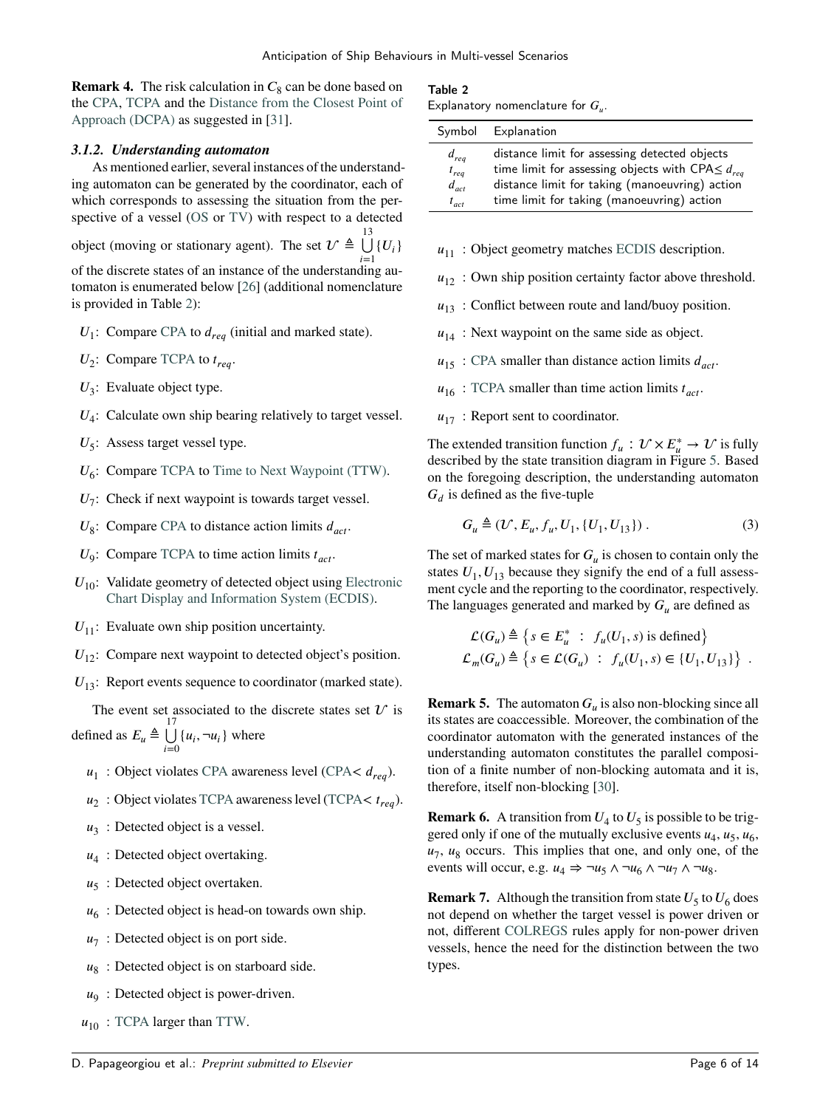**Remark 4.** The risk calculation in  $C_8$  can be done based on the [CPA,](#page-0-0) [TCPA](#page-0-0) and the [Distance from the Closest Point of](#page-0-0) [Approach \(DCPA\)](#page-0-0) as suggested in [\[31\]](#page-13-0).

# *3.1.2. Understanding automaton*

As mentioned earlier, several instances of the understanding automaton can be generated by the coordinator, each of which corresponds to assessing the situation from the perspective of a vessel [\(OS](#page-0-0) or [TV\)](#page-0-0) with respect to a detected object (moving or stationary agent). The set  $\mathcal{U} \triangleq \bigcup_{\alpha=1}^{13}$  ${U_i}$ 

of the discrete states of an instance of the understanding automaton is enumerated below [\[26\]](#page-12-25) (additional nomenclature is provided in Table [2\)](#page-5-0):

- $U_1$ : Compare [CPA](#page-0-0) to  $d_{req}$  (initial and marked state).
- $U_2$ : Compare [TCPA](#page-0-0) to  $t_{req}$ .
- U<sub>3</sub>: Evaluate object type.
- $U_4$ : Calculate own ship bearing relatively to target vessel.
- U<sub>5</sub>: Assess target vessel type.
- U<sub>6</sub>: Compare [TCPA](#page-0-0) to [Time to Next Waypoint \(TTW\).](#page-0-0)
- $U_7$ : Check if next waypoint is towards target vessel.
- $U_8$ : Compare [CPA](#page-0-0) to distance action limits  $d_{act}$ .
- $U_9$ : Compare [TCPA](#page-0-0) to time action limits  $t_{act}$ .
- $U_{10}$ : Validate geometry of detected object using [Electronic](#page-0-0) [Chart Display and Information System \(ECDIS\).](#page-0-0)
- $U_{11}$ : Evaluate own ship position uncertainty.
- $U_{12}$ : Compare next waypoint to detected object's position.

 $U_{13}$ : Report events sequence to coordinator (marked state).

The event set associated to the discrete states set  $U$  is defined as  $E_u \triangleq \bigcup$  $\bigcup_{i=0} \{u_i, \neg u_i\}$  where

- *u*<sub>1</sub> : Object violates [CPA](#page-0-0) awareness level [\(CPA](#page-0-0) <  $d_{req}$ ).
- *u*<sub>2</sub>: Object violates [TCPA](#page-0-0) awareness level [\(TCPA](#page-0-0) <  $t_{req}$ ).
- $u_3$ : Detected object is a vessel.
- $u_4$ : Detected object overtaking.
- u<sub>5</sub>: Detected object overtaken.
- $u_6$ : Detected object is head-on towards own ship.
- $u_7$ : Detected object is on port side.
- u<sub>8</sub>: Detected object is on starboard side.
- *u*<sub>9</sub>: Detected object is power-driven.
- $u_{10}$ : [TCPA](#page-0-0) larger than [TTW.](#page-0-0)

## <span id="page-5-0"></span>Table 2

|  | Explanatory nomenclature for $G_u$ . |  |  |
|--|--------------------------------------|--|--|
|--|--------------------------------------|--|--|

|           | Symbol Explanation                                       |
|-----------|----------------------------------------------------------|
| $d_{req}$ | distance limit for assessing detected objects            |
| $t_{req}$ | time limit for assessing objects with CPA $\leq d_{reg}$ |
| $d_{act}$ | distance limit for taking (manoeuvring) action           |
| $t_{act}$ | time limit for taking (manoeuvring) action               |

- $u_{11}$  : Object geometry matches [ECDIS](#page-0-0) description.
- $u_{12}$ : Own ship position certainty factor above threshold.
- $u_{13}$ : Conflict between route and land/buoy position.
- $u_{14}$ : Next waypoint on the same side as object.
- $u_{15}$ : [CPA](#page-0-0) smaller than distance action limits  $d_{act}$ .
- $u_{16}$ : [TCPA](#page-0-0) smaller than time action limits  $t_{act}$ .
- $u_{17}$ : Report sent to coordinator.

The extended transition function  $f_u : \mathcal{U} \times E^*_{\mu} \to \mathcal{U}$  is fully described by the state transition diagram in Figure [5.](#page-6-0) Based on the foregoing description, the understanding automaton  $G_d$  is defined as the five-tuple

$$
G_u \triangleq (\mathcal{U}, E_u, f_u, U_1, \{U_1, U_{13}\})
$$
 (3)

The set of marked states for  $G_u$  is chosen to contain only the states  $U_1, U_{13}$  because they signify the end of a full assessment cycle and the reporting to the coordinator, respectively. The languages generated and marked by  $G_u$  are defined as

$$
\mathcal{L}(G_u) \triangleq \left\{ s \in E_u^* \; : \; f_u(U_1, s) \text{ is defined} \right\}
$$
  

$$
\mathcal{L}_m(G_u) \triangleq \left\{ s \in \mathcal{L}(G_u) \; : \; f_u(U_1, s) \in \{U_1, U_{13}\} \right\} .
$$

**Remark 5.** The automaton  $G_u$  is also non-blocking since all its states are coaccessible. Moreover, the combination of the coordinator automaton with the generated instances of the understanding automaton constitutes the parallel composition of a finite number of non-blocking automata and it is, therefore, itself non-blocking [\[30\]](#page-12-29).

**Remark 6.** A transition from  $U_4$  to  $U_5$  is possible to be triggered only if one of the mutually exclusive events  $u_4$ ,  $u_5$ ,  $u_6$ ,  $u_7$ ,  $u_8$  occurs. This implies that one, and only one, of the events will occur, e.g.  $u_4 \Rightarrow \neg u_5 \land \neg u_6 \land \neg u_7 \land \neg u_8$ .

**Remark 7.** Although the transition from state  $U_5$  to  $U_6$  does not depend on whether the target vessel is power driven or not, different [COLREGS](#page-0-0) rules apply for non-power driven vessels, hence the need for the distinction between the two types.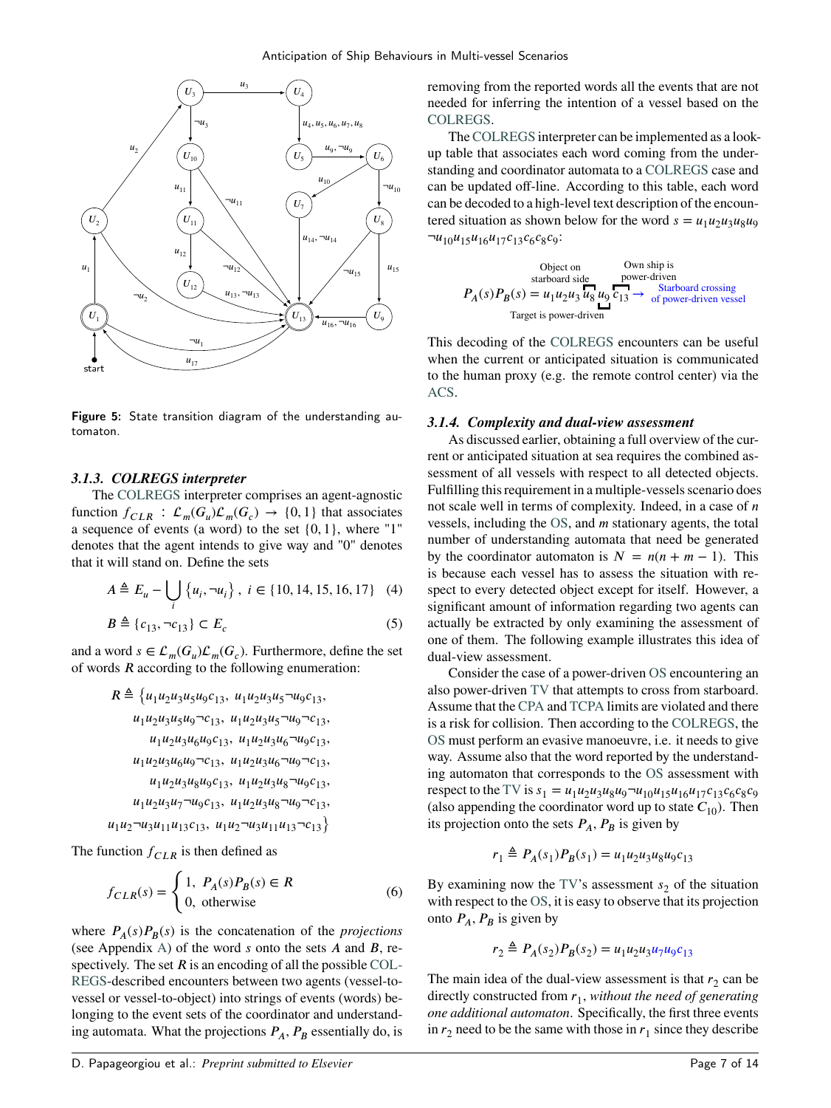<span id="page-6-0"></span>

Figure 5: State transition diagram of the understanding automaton.

## *3.1.3. COLREGS interpreter*

The [COLREGS](#page-0-0) interpreter comprises an agent-agnostic function  $f_{CLR}$ :  $\mathcal{L}_m(G_u)\mathcal{L}_m(G_c) \rightarrow \{0, 1\}$  that associates a sequence of events (a word) to the set {0*,* 1}, where "1" denotes that the agent intends to give way and "0" denotes that it will stand on. Define the sets

<span id="page-6-1"></span>
$$
A \triangleq E_u - \bigcup_i \{u_i, \neg u_i\}, \ i \in \{10, 14, 15, 16, 17\} \quad (4)
$$

<span id="page-6-2"></span>
$$
B \triangleq \{c_{13}, \neg c_{13}\} \subset E_c \tag{5}
$$

and a word  $s \in \mathcal{L}_m(G_u)\mathcal{L}_m(G_c)$ . Furthermore, define the set of words *R* according to the following enumeration:

$$
R \triangleq \left\{ u_1 u_2 u_3 u_5 u_9 c_{13}, u_1 u_2 u_3 u_5 \neg u_9 c_{13}, u_1 u_2 u_3 u_5 \neg u_9 c_{13}, u_1 u_2 u_3 u_5 \neg u_9 \neg c_{13}, u_1 u_2 u_3 u_6 \neg u_9 c_{13}, u_1 u_2 u_3 u_6 u_9 c_{13}, u_1 u_2 u_3 u_6 \neg u_9 c_{13}, u_1 u_2 u_3 u_6 \neg u_9 c_{13}, u_1 u_2 u_3 u_8 u_9 c_{13}, u_1 u_2 u_3 u_8 \neg u_9 c_{13}, u_1 u_2 u_3 u_7 \neg u_9 c_{13}, u_1 u_2 u_3 u_8 \neg u_9 \neg c_{13}, u_1 u_2 \neg u_3 u_{11} u_{13} c_{13}, u_1 u_2 \neg u_3 u_{11} u_{13} \neg c_{13} \right\}
$$

The function  $f_{CLR}$  is then defined as

*𝑢*1

$$
f_{CLR}(s) = \begin{cases} 1, \ P_A(s)P_B(s) \in R \\ 0, \text{ otherwise} \end{cases}
$$
 (6)

where  $P_A(s)P_B(s)$  is the concatenation of the *projections* (see Appendix [A\)](#page-11-1) of the word *s* onto the sets *A* and *B*, respectively. The set  $R$  is an encoding of all the possible [COL-](#page-0-0)[REGS-](#page-0-0)described encounters between two agents (vessel-tovessel or vessel-to-object) into strings of events (words) belonging to the event sets of the coordinator and understanding automata. What the projections  $P_A$ ,  $P_B$  essentially do, is removing from the reported words all the events that are not needed for inferring the intention of a vessel based on the [COLREGS.](#page-0-0)

The [COLREGS](#page-0-0) interpreter can be implemented as a lookup table that associates each word coming from the understanding and coordinator automata to a [COLREGS](#page-0-0) case and can be updated off-line. According to this table, each word can be decoded to a high-level text description of the encountered situation as shown below for the word  $s = u_1 u_2 u_3 u_8 u_9$  $\neg u_{10}u_{15}u_{16}u_{17}c_{13}c_6c_8c_9$ :

Object on  
standard side power-driven  

$$
P_A(s)P_B(s) = u_1u_2u_3u_8u_9P_{13} \rightarrow \text{Starboard crossing}
$$
  
Target is power-driven

This decoding of the [COLREGS](#page-0-0) encounters can be useful when the current or anticipated situation is communicated to the human proxy (e.g. the remote control center) via the [ACS.](#page-0-0)

## <span id="page-6-3"></span>*3.1.4. Complexity and dual-view assessment*

As discussed earlier, obtaining a full overview of the current or anticipated situation at sea requires the combined assessment of all vessels with respect to all detected objects. Fulfilling this requirement in a multiple-vessels scenario does not scale well in terms of complexity. Indeed, in a case of *n* vessels, including the [OS,](#page-0-0) and *m* stationary agents, the total number of understanding automata that need be generated by the coordinator automaton is  $N = n(n + m - 1)$ . This is because each vessel has to assess the situation with respect to every detected object except for itself. However, a significant amount of information regarding two agents can actually be extracted by only examining the assessment of one of them. The following example illustrates this idea of dual-view assessment.

Consider the case of a power-driven [OS](#page-0-0) encountering an also power-driven [TV](#page-0-0) that attempts to cross from starboard. Assume that the [CPA](#page-0-0) and [TCPA](#page-0-0) limits are violated and there is a risk for collision. Then according to the [COLREGS,](#page-0-0) the [OS](#page-0-0) must perform an evasive manoeuvre, i.e. it needs to give way. Assume also that the word reported by the understanding automaton that corresponds to the [OS](#page-0-0) assessment with respect to the [TV](#page-0-0) is  $s_1 = u_1 u_2 u_3 u_8 u_9 - u_{10} u_{15} u_{16} u_{17} c_{13} c_6 c_8 c_9$ (also appending the coordinator word up to state  $C_{10}$ ). Then its projection onto the sets  $P_A$ ,  $P_B$  is given by

$$
r_1 \triangleq P_A(s_1)P_B(s_1) = u_1u_2u_3u_8u_9c_{13}
$$

By examining now the [TV'](#page-0-0)s assessment  $s<sub>2</sub>$  of the situation with respect to the [OS,](#page-0-0) it is easy to observe that its projection onto  $P_A$ ,  $P_B$  is given by

$$
r_2 \triangleq P_A(s_2)P_B(s_2) = u_1u_2u_3u_7u_9c_{13}
$$

The main idea of the dual-view assessment is that  $r_2$  can be directly constructed from *𝑟*<sup>1</sup> , *without the need of generating one additional automaton*. Specifically, the first three events in  $r_2$  need to be the same with those in  $r_1$  since they describe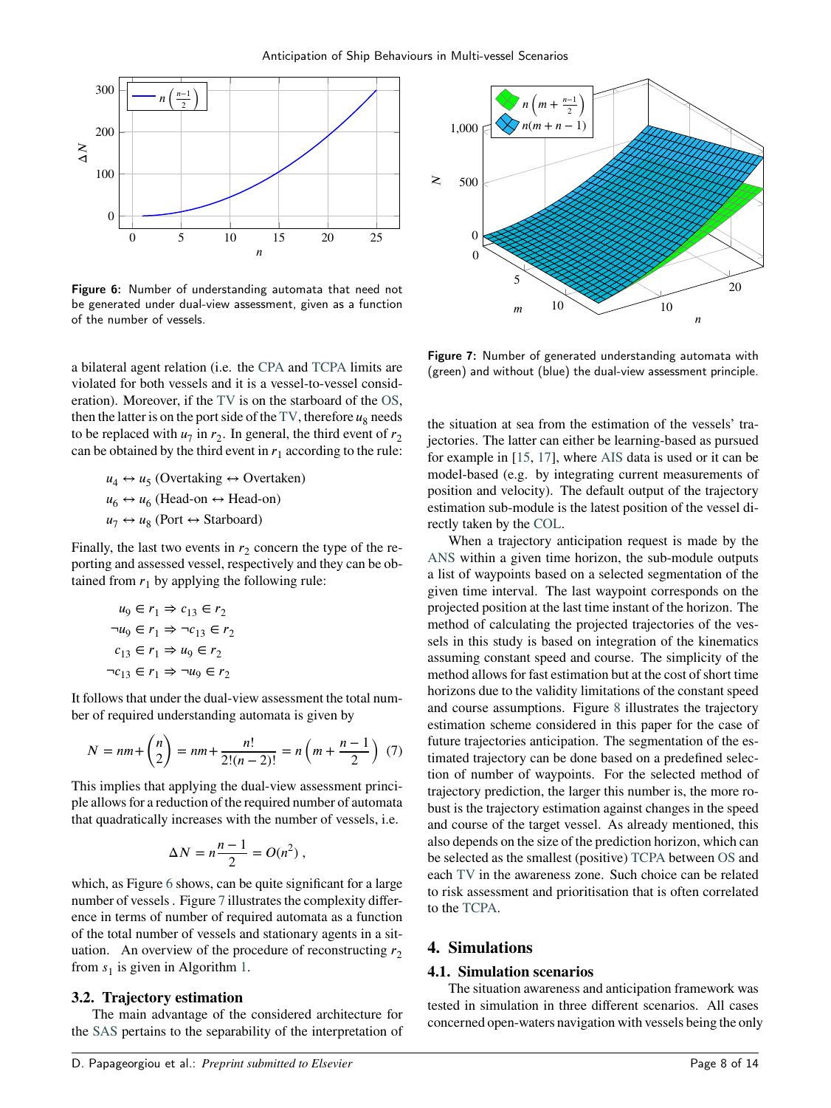<span id="page-7-1"></span>

Figure 6: Number of understanding automata that need not be generated under dual-view assessment, given as a function of the number of vessels.

a bilateral agent relation (i.e. the [CPA](#page-0-0) and [TCPA](#page-0-0) limits are violated for both vessels and it is a vessel-to-vessel consideration). Moreover, if the [TV](#page-0-0) is on the starboard of the [OS,](#page-0-0) then the latter is on the port side of the  $TV$ , therefore  $u_8$  needs to be replaced with  $u_7$  in  $r_2$ . In general, the third event of  $r_2$ can be obtained by the third event in  $r_1$  according to the rule:

> $u_4 \leftrightarrow u_5$  (Overtaking  $\leftrightarrow$  Overtaken)  $u_6 \leftrightarrow u_6$  (Head-on  $\leftrightarrow$  Head-on)  $u_7 \leftrightarrow u_8$  (Port  $\leftrightarrow$  Starboard)

Finally, the last two events in  $r_2$  concern the type of the reporting and assessed vessel, respectively and they can be obtained from  $r_1$  by applying the following rule:

$$
u_9 \in r_1 \Rightarrow c_{13} \in r_2
$$
  
\n
$$
\neg u_9 \in r_1 \Rightarrow \neg c_{13} \in r_2
$$
  
\n
$$
c_{13} \in r_1 \Rightarrow u_9 \in r_2
$$
  
\n
$$
\neg c_{13} \in r_1 \Rightarrow \neg u_9 \in r_2
$$

It follows that under the dual-view assessment the total number of required understanding automata is given by

$$
N = nm + \binom{n}{2} = nm + \frac{n!}{2!(n-2)!} = n\left(m + \frac{n-1}{2}\right) (7)
$$

This implies that applying the dual-view assessment principle allows for a reduction of the required number of automata that quadratically increases with the number of vessels, i.e.

$$
\Delta N = n\frac{n-1}{2} = O(n^2) ,
$$

which, as Figure [6](#page-7-1) shows, can be quite significant for a large number of vessels . Figure [7](#page-7-2) illustrates the complexity difference in terms of number of required automata as a function of the total number of vessels and stationary agents in a situation. An overview of the procedure of reconstructing  $r_2$ from  $s_1$  is given in Algorithm [1.](#page-8-0)

## **3.2. Trajectory estimation**

The main advantage of the considered architecture for the [SAS](#page-0-0) pertains to the separability of the interpretation of

<span id="page-7-2"></span>

Figure 7: Number of generated understanding automata with (green) and without (blue) the dual-view assessment principle.

the situation at sea from the estimation of the vessels' trajectories. The latter can either be learning-based as pursued for example in [\[15,](#page-12-14) [17\]](#page-12-16), where [AIS](#page-0-0) data is used or it can be model-based (e.g. by integrating current measurements of position and velocity). The default output of the trajectory estimation sub-module is the latest position of the vessel directly taken by the [COL.](#page-0-0)

<span id="page-7-3"></span>When a trajectory anticipation request is made by the [ANS](#page-0-0) within a given time horizon, the sub-module outputs a list of waypoints based on a selected segmentation of the given time interval. The last waypoint corresponds on the projected position at the last time instant of the horizon. The method of calculating the projected trajectories of the vessels in this study is based on integration of the kinematics assuming constant speed and course. The simplicity of the method allows for fast estimation but at the cost of short time horizons due to the validity limitations of the constant speed and course assumptions. Figure [8](#page-8-1) illustrates the trajectory estimation scheme considered in this paper for the case of future trajectories anticipation. The segmentation of the estimated trajectory can be done based on a predefined selection of number of waypoints. For the selected method of trajectory prediction, the larger this number is, the more robust is the trajectory estimation against changes in the speed and course of the target vessel. As already mentioned, this also depends on the size of the prediction horizon, which can be selected as the smallest (positive) [TCPA](#page-0-0) between [OS](#page-0-0) and each [TV](#page-0-0) in the awareness zone. Such choice can be related to risk assessment and prioritisation that is often correlated to the [TCPA.](#page-0-0)

# <span id="page-7-0"></span>**4. Simulations**

#### **4.1. Simulation scenarios**

The situation awareness and anticipation framework was tested in simulation in three different scenarios. All cases concerned open-waters navigation with vessels being the only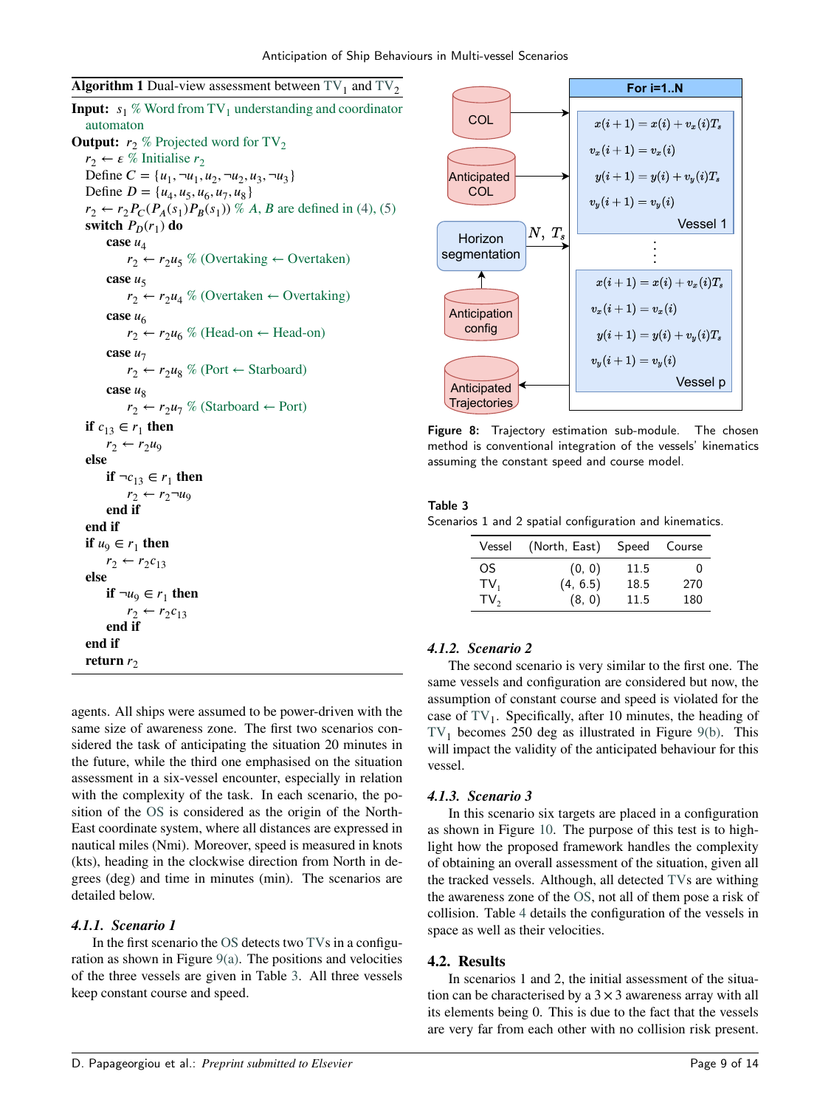<span id="page-8-0"></span>

| <b>Algorithm 1</b> Dual-view assessment between $TV_1$ and $TV_2$             |
|-------------------------------------------------------------------------------|
| <b>Input:</b> $s_1$ % Word from TV <sub>1</sub> understanding and coordinator |
| automaton                                                                     |
| <b>Output:</b> $r_2$ % Projected word for $TV_2$                              |
| $r_2 \leftarrow \varepsilon$ % Initialise $r_2$                               |
| Define $C = \{u_1, \neg u_1, u_2, \neg u_2, u_3, \neg u_3\}$                  |
| Define $D = {u_4, u_5, u_6, u_7, u_8}$                                        |
| $r_2 \leftarrow r_2 P_C(P_A(s_1) P_B(s_1))$ % A, B are defined in (4), (5)    |
| switch $P_D(r_1)$ do                                                          |
| case $u_4$                                                                    |
| $r_2 \leftarrow r_2 u_5 \%$ (Overtaking $\leftarrow$ Overtaken)               |
| case $u5$                                                                     |
| $r_2 \leftarrow r_2 u_4 \%$ (Overtaken $\leftarrow$ Overtaking)               |
| case $u_6$                                                                    |
| $r_2 \leftarrow r_2 u_6 \%$ (Head-on $\leftarrow$ Head-on)                    |
| case $u_7$                                                                    |
| $r_2 \leftarrow r_2 u_8 \%$ (Port $\leftarrow$ Starboard)                     |
| case $u_{8}$                                                                  |
| $r_2 \leftarrow r_2 u_7 \%$ (Starboard $\leftarrow$ Port)                     |
| if $c_{13} \in r_1$ then                                                      |
| $r_2 \leftarrow r_2 u_9$                                                      |
| else                                                                          |
| if $\neg c_{13} \in r_1$ then                                                 |
| $r_2 \leftarrow r_2 \neg u_9$                                                 |
| end if                                                                        |
| end if                                                                        |
| if $u_9 \in r_1$ then                                                         |
| $r_2 \leftarrow r_2 c_{13}$                                                   |
| else                                                                          |
| if $\neg u_9 \in r_1$ then                                                    |
| $r_2 \leftarrow r_2 c_{13}$                                                   |
| end if                                                                        |
| end if                                                                        |
| return $r_2$                                                                  |

agents. All ships were assumed to be power-driven with the same size of awareness zone. The first two scenarios considered the task of anticipating the situation 20 minutes in the future, while the third one emphasised on the situation assessment in a six-vessel encounter, especially in relation with the complexity of the task. In each scenario, the position of the [OS](#page-0-0) is considered as the origin of the North-East coordinate system, where all distances are expressed in nautical miles (Nmi). Moreover, speed is measured in knots (kts), heading in the clockwise direction from North in degrees (deg) and time in minutes (min). The scenarios are detailed below.

# *4.1.1. Scenario 1*

In the first scenario the [OS](#page-0-0) detects two [TVs](#page-0-0) in a configuration as shown in Figure  $9(a)$ . The positions and velocities of the three vessels are given in Table [3.](#page-8-2) All three vessels keep constant course and speed.

<span id="page-8-1"></span>

Figure 8: Trajectory estimation sub-module. The chosen method is conventional integration of the vessels' kinematics assuming the constant speed and course model.

#### <span id="page-8-2"></span>Table 3

Scenarios 1 and 2 spatial configuration and kinematics.

| Vessel          | (North, East) | Speed Course |              |
|-----------------|---------------|--------------|--------------|
| OS.             | (0, 0)        | 11.5         | $\mathbf{0}$ |
| $TV_1$          | (4, 6.5)      | 18.5         | 270          |
| TV <sub>2</sub> | (8, 0)        | 11.5         | 180          |

# *4.1.2. Scenario 2*

The second scenario is very similar to the first one. The same vessels and configuration are considered but now, the assumption of constant course and speed is violated for the case of  $TV_1$  $TV_1$ . Specifically, after 10 minutes, the heading of  $TV_1$  $TV_1$  becomes 250 deg as illustrated in Figure [9\(b\).](#page-9-1) This will impact the validity of the anticipated behaviour for this vessel.

#### *4.1.3. Scenario 3*

In this scenario six targets are placed in a configuration as shown in Figure [10.](#page-9-2) The purpose of this test is to highlight how the proposed framework handles the complexity of obtaining an overall assessment of the situation, given all the tracked vessels. Although, all detected [TVs](#page-0-0) are withing the awareness zone of the [OS,](#page-0-0) not all of them pose a risk of collision. Table [4](#page-9-3) details the configuration of the vessels in space as well as their velocities.

## **4.2. Results**

In scenarios 1 and 2, the initial assessment of the situation can be characterised by a  $3 \times 3$  awareness array with all its elements being 0. This is due to the fact that the vessels are very far from each other with no collision risk present.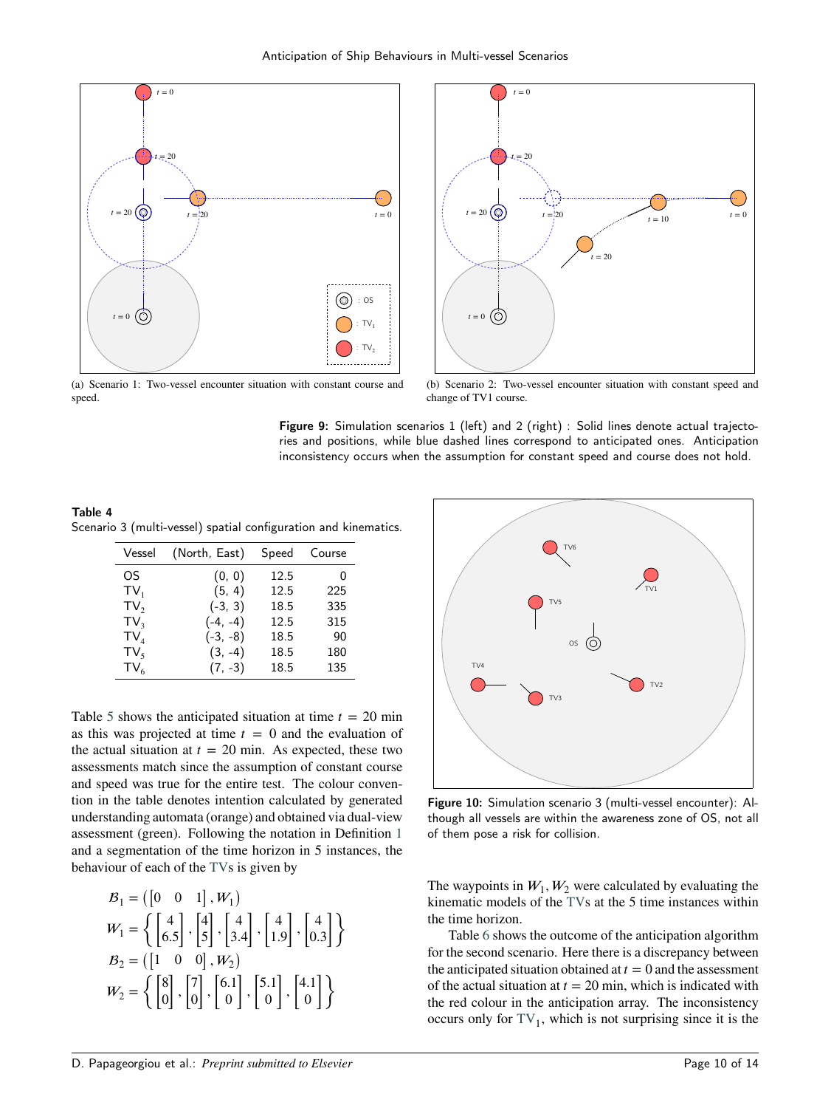<span id="page-9-0"></span>



(a) Scenario 1: Two-vessel encounter situation with constant course and speed.

<span id="page-9-1"></span>(b) Scenario 2: Two-vessel encounter situation with constant speed and change of TV1 course.

Figure 9: Simulation scenarios 1 (left) and 2 (right) : Solid lines denote actual trajectories and positions, while blue dashed lines correspond to anticipated ones. Anticipation inconsistency occurs when the assumption for constant speed and course does not hold.

<span id="page-9-3"></span>Table 4 Scenario 3 (multi-vessel) spatial configuration and kinematics.

| Vessel           | (North, East) | Speed | Course |
|------------------|---------------|-------|--------|
| OS.              | (0, 0)        | 12.5  | 0      |
| $TV_1$           | (5, 4)        | 12.5  | 225    |
| TV <sub>2</sub>  | $(-3, 3)$     | 18.5  | 335    |
| TV <sub>3</sub>  | $(-4, -4)$    | 12.5  | 315    |
| $TV_A$           | $(-3, -8)$    | 18.5  | 90     |
| $TV_{\varsigma}$ | $(3, -4)$     | 18.5  | 180    |
| $TV_{6}$         | $(7, -3)$     | 18.5  | 135    |

Table [5](#page-10-2) shows the anticipated situation at time  $t = 20$  min as this was projected at time  $t = 0$  and the evaluation of the actual situation at  $t = 20$  min. As expected, these two assessments match since the assumption of constant course and speed was true for the entire test. The colour convention in the table denotes intention calculated by generated understanding automata (orange) and obtained via dual-view assessment (green). Following the notation in Definition [1](#page-2-1) and a segmentation of the time horizon in 5 instances, the behaviour of each of the [TVs](#page-0-0) is given by

$$
B_1 = \begin{pmatrix} 0 & 0 & 1 \end{pmatrix}, W_1
$$
  
\n
$$
W_1 = \left\{ \begin{bmatrix} 4 \\ 6.5 \end{bmatrix}, \begin{bmatrix} 4 \\ 5 \end{bmatrix}, \begin{bmatrix} 4 \\ 3.4 \end{bmatrix}, \begin{bmatrix} 4 \\ 1.9 \end{bmatrix}, \begin{bmatrix} 4 \\ 0.3 \end{bmatrix} \right\}
$$
  
\n
$$
B_2 = \begin{pmatrix} 1 & 0 & 0 \end{pmatrix}, W_2
$$
  
\n
$$
W_2 = \left\{ \begin{bmatrix} 8 \\ 0 \end{bmatrix}, \begin{bmatrix} 7 \\ 0 \end{bmatrix}, \begin{bmatrix} 6.1 \\ 0 \end{bmatrix}, \begin{bmatrix} 5.1 \\ 0 \end{bmatrix}, \begin{bmatrix} 4.1 \\ 0 \end{bmatrix} \right\}
$$

<span id="page-9-2"></span>

Figure 10: Simulation scenario 3 (multi-vessel encounter): Although all vessels are within the awareness zone of OS, not all of them pose a risk for collision.

The waypoints in  $W_1, W_2$  were calculated by evaluating the kinematic models of the [TVs](#page-0-0) at the 5 time instances within the time horizon.

Table [6](#page-10-3) shows the outcome of the anticipation algorithm for the second scenario. Here there is a discrepancy between the anticipated situation obtained at  $t = 0$  and the assessment of the actual situation at  $t = 20$  min, which is indicated with the red colour in the anticipation array. The inconsistency occurs only for  $TV_1$  $TV_1$ , which is not surprising since it is the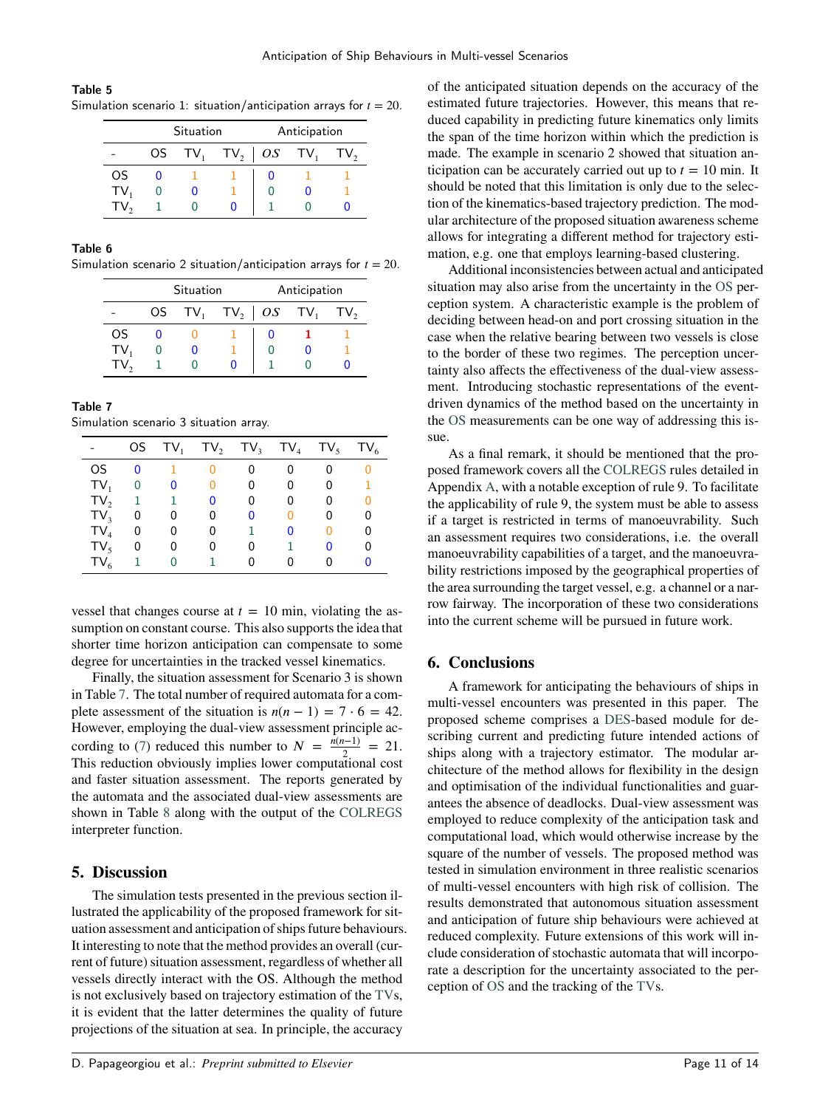<span id="page-10-2"></span>

| Table 5 |                                                                     |  |
|---------|---------------------------------------------------------------------|--|
|         | Simulation scenario 1: situation/anticipation arrays for $t = 20$ . |  |

|        | Situation |  |                           | Anticipation |  |     |
|--------|-----------|--|---------------------------|--------------|--|-----|
|        | OS —      |  | $TV_1$ $TV_2$ $OS$ $TV_1$ |              |  | TV. |
| OS     |           |  |                           |              |  |     |
| $TV_1$ |           |  |                           |              |  |     |
|        |           |  |                           |              |  |     |

## <span id="page-10-3"></span>Table 6

Simulation scenario 2 situation/anticipation arrays for  $t = 20$ .

|        | Situation |        |                      | Anticipation |  |     |
|--------|-----------|--------|----------------------|--------------|--|-----|
|        |           | OS TV, | $TV_2$   $OS$ $TV_1$ |              |  | T۷, |
| OS     |           |        |                      |              |  |     |
| $TV_1$ |           |        |                      |              |  |     |
|        |           |        |                      |              |  |     |

<span id="page-10-4"></span>

| Table 7                               |  |  |
|---------------------------------------|--|--|
| Simulation scenario 3 situation array |  |  |

|        | OS. | $TV_{1}$ |   | $TV_2$ TV <sub>3</sub> | $TV_4$ | $TV_5$ | $TV_6$ |
|--------|-----|----------|---|------------------------|--------|--------|--------|
| OS.    | 0   |          |   |                        |        |        |        |
| $TV_1$ | 0   | 0        |   | 0                      | 0      | 0      |        |
| $TV_2$ | 1   |          |   | U                      |        |        |        |
| $TV_3$ | 0   | 0        | 0 |                        |        |        | 0      |
| $TV_4$ | 0   | 0        | 0 |                        |        |        | 0      |
| $TV_5$ | 0   | 0        |   |                        |        |        | 0      |
| $TV_6$ | 1   |          |   |                        |        |        |        |

vessel that changes course at  $t = 10$  min, violating the assumption on constant course. This also supports the idea that shorter time horizon anticipation can compensate to some degree for uncertainties in the tracked vessel kinematics.

Finally, the situation assessment for Scenario 3 is shown in Table [7.](#page-10-4) The total number of required automata for a complete assessment of the situation is  $n(n-1) = 7 \cdot 6 = 42$ . However, employing the dual-view assessment principle ac-cording to [\(7\)](#page-7-3) reduced this number to  $N = \frac{n(n-1)}{2}$  $\frac{1}{2}$  = 21. This reduction obviously implies lower computational cost and faster situation assessment. The reports generated by the automata and the associated dual-view assessments are shown in Table [8](#page-11-2) along with the output of the [COLREGS](#page-0-0) interpreter function.

# <span id="page-10-0"></span>**5. Discussion**

The simulation tests presented in the previous section illustrated the applicability of the proposed framework for situation assessment and anticipation of ships future behaviours. It interesting to note that the method provides an overall (current of future) situation assessment, regardless of whether all vessels directly interact with the OS. Although the method is not exclusively based on trajectory estimation of the [TVs](#page-0-0), it is evident that the latter determines the quality of future projections of the situation at sea. In principle, the accuracy

of the anticipated situation depends on the accuracy of the estimated future trajectories. However, this means that reduced capability in predicting future kinematics only limits the span of the time horizon within which the prediction is made. The example in scenario 2 showed that situation anticipation can be accurately carried out up to  $t = 10$  min. It should be noted that this limitation is only due to the selection of the kinematics-based trajectory prediction. The modular architecture of the proposed situation awareness scheme allows for integrating a different method for trajectory estimation, e.g. one that employs learning-based clustering.

Additional inconsistencies between actual and anticipated situation may also arise from the uncertainty in the [OS](#page-0-0) perception system. A characteristic example is the problem of deciding between head-on and port crossing situation in the case when the relative bearing between two vessels is close to the border of these two regimes. The perception uncertainty also affects the effectiveness of the dual-view assessment. Introducing stochastic representations of the eventdriven dynamics of the method based on the uncertainty in the [OS](#page-0-0) measurements can be one way of addressing this issue.

As a final remark, it should be mentioned that the proposed framework covers all the [COLREGS](#page-0-0) rules detailed in Appendix [A,](#page-11-1) with a notable exception of rule 9. To facilitate the applicability of rule 9, the system must be able to assess if a target is restricted in terms of manoeuvrability. Such an assessment requires two considerations, i.e. the overall manoeuvrability capabilities of a target, and the manoeuvrability restrictions imposed by the geographical properties of the area surrounding the target vessel, e.g. a channel or a narrow fairway. The incorporation of these two considerations into the current scheme will be pursued in future work.

# <span id="page-10-1"></span>**6. Conclusions**

A framework for anticipating the behaviours of ships in multi-vessel encounters was presented in this paper. The proposed scheme comprises a [DES-](#page-0-0)based module for describing current and predicting future intended actions of ships along with a trajectory estimator. The modular architecture of the method allows for flexibility in the design and optimisation of the individual functionalities and guarantees the absence of deadlocks. Dual-view assessment was employed to reduce complexity of the anticipation task and computational load, which would otherwise increase by the square of the number of vessels. The proposed method was tested in simulation environment in three realistic scenarios of multi-vessel encounters with high risk of collision. The results demonstrated that autonomous situation assessment and anticipation of future ship behaviours were achieved at reduced complexity. Future extensions of this work will include consideration of stochastic automata that will incorporate a description for the uncertainty associated to the perception of [OS](#page-0-0) and the tracking of the [TVs](#page-0-0).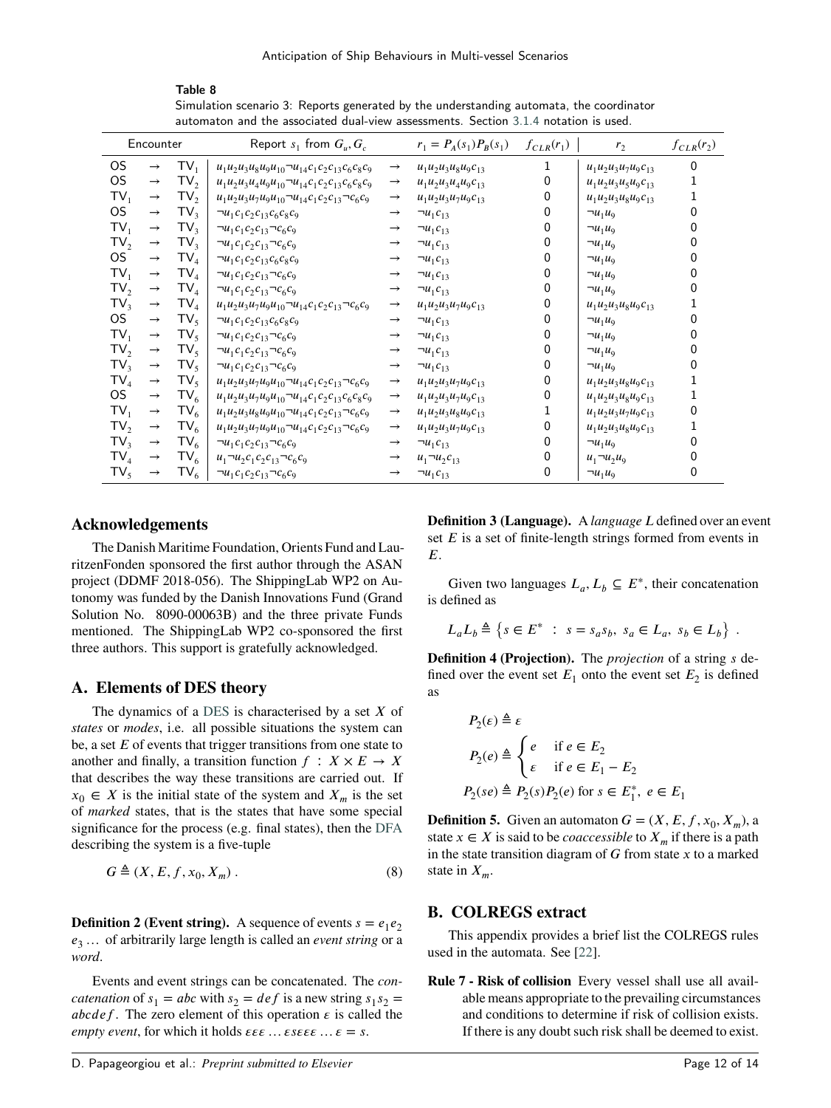Table 8 Simulation scenario 3: Reports generated by the understanding automata, the coordinator automaton and the associated dual-view assessments. Section [3.1.4](#page-6-3) notation is used.

<span id="page-11-2"></span>

| Encounter       |               |                 | Report $s_1$ from $G_u, G_c$                         |               | $r_1 = P_A(s_1)P_B(s_1)$ | $f_{CLR}(r_1)$ | r <sub>2</sub>          | $f_{CLR}(r_2)$ |
|-----------------|---------------|-----------------|------------------------------------------------------|---------------|--------------------------|----------------|-------------------------|----------------|
| OS.             | $\rightarrow$ | $TV_1$          | $u_1u_2u_3u_8u_9u_{10}u_{14}c_1c_2c_{13}c_6c_8c_9$   | $\rightarrow$ | $u_1u_2u_3u_8u_9c_{13}$  |                | $u_1u_2u_3u_7u_9c_{13}$ | $\Omega$       |
| OS.             | $\rightarrow$ | TV <sub>2</sub> | $u_1u_2u_3u_4u_9u_{10}u_{14}c_1c_2c_{13}c_6c_8c_9$   | $\rightarrow$ | $u_1u_2u_3u_4u_9c_{13}$  |                | $u_1u_2u_3u_5u_9c_{13}$ |                |
| $TV_1$          | $\rightarrow$ | TV <sub>2</sub> | $u_1u_2u_3u_7u_9u_{10}u_{14}c_1c_2c_{13}$ $-c_6c_9$  | $\rightarrow$ | $u_1u_2u_3u_7u_9c_{13}$  | 0              | $u_1u_2u_3u_8u_9c_{13}$ |                |
| OS.             | $\rightarrow$ | $TV_3$          | $\neg u_1 c_1 c_2 c_{13} c_6 c_8 c_9$                | $\rightarrow$ | $\neg u_1 c_{13}$        | O              | $\neg u_1 u_9$          |                |
| TV,             | $\rightarrow$ | TV <sub>3</sub> | $\neg u_1 c_1 c_2 c_{13} \neg c_6 c_9$               | $\rightarrow$ | $\neg u_1 c_{13}$        | Ω              | $\neg u_1 u_9$          |                |
| TV <sub>2</sub> | $\rightarrow$ | TV <sub>3</sub> | $\neg u_1 c_1 c_2 c_{13} \neg c_6 c_9$               | $\rightarrow$ | $\neg u_1 c_{13}$        |                | $\neg u_1 u_9$          |                |
| OS.             | $\rightarrow$ | $TV_4$          | $\neg u_1 c_1 c_2 c_{13} c_6 c_8 c_9$                | $\rightarrow$ | $\neg u_1 c_{13}$        |                | $\neg u_1 u_9$          |                |
| $TV_1$          | $\rightarrow$ | $TV_4$          | $\neg u_1 c_1 c_2 c_{13} \neg c_6 c_9$               | $\rightarrow$ | $\neg u_1 c_{13}$        | 0              | $\neg u_1 u_9$          |                |
| TV <sub>2</sub> | $\rightarrow$ | $TV_4$          | $\neg u_1 c_1 c_2 c_{13} \neg c_6 c_9$               | $\rightarrow$ | $\neg u_1 c_{13}$        | Ω              | $\neg u_1 u_9$          |                |
| TV <sub>3</sub> | $\rightarrow$ | $TV_4$          | $u_1u_2u_3u_7u_9u_{10}u_{14}c_1c_2c_{13}$ $-c_6c_9$  | $\rightarrow$ | $u_1u_2u_3u_7u_9c_{13}$  | Ω              | $u_1u_2u_3u_8u_9c_{13}$ |                |
| OS.             | $\rightarrow$ | $TV_5$          | $\neg u_1 c_1 c_2 c_{13} c_6 c_8 c_9$                | $\rightarrow$ | $\neg u_1 c_{13}$        |                | $\neg u_1 u_9$          |                |
| $TV_1$          | $\rightarrow$ | $TV_5$          | $\neg u_1 c_1 c_2 c_{13} \neg c_6 c_9$               | $\rightarrow$ | $\neg u_1 c_{13}$        | Ω              | $\neg u_1 u_9$          |                |
| TV <sub>2</sub> | $\rightarrow$ | $TV_{5}$        | $\neg u_1 c_1 c_2 c_{13} \neg c_6 c_9$               | $\rightarrow$ | $\neg u_1 c_{13}$        |                | $\neg u_1 u_9$          |                |
| TV <sub>2</sub> | $\rightarrow$ | $TV_{5}$        | $\neg u_1 c_1 c_2 c_{13} \neg c_6 c_9$               | $\rightarrow$ | $\neg u_1 c_{13}$        | 0              | $\neg u_1 u_9$          |                |
| $TV_4$          | $\rightarrow$ | $TV_5$          | $u_1u_2u_3u_7u_9u_{10}u_{14}c_1c_2c_{13}$ - $c_6c_9$ | $\rightarrow$ | $u_1u_2u_3u_7u_9c_{13}$  | Ω              | $u_1u_2u_3u_8u_9c_{13}$ |                |
| OS.             | $\rightarrow$ | $TV_6$          | $u_1u_2u_3u_7u_9u_{10}u_{14}c_1c_2c_{13}c_6c_8c_9$   | $\rightarrow$ | $u_1u_2u_3u_7u_9c_{13}$  | Ω              | $u_1u_2u_3u_8u_9c_{13}$ |                |
| $TV_1$          | $\rightarrow$ | $TV_6$          | $u_1u_2u_3u_8u_9u_{10}u_{14}c_1c_2c_{13}$            | $\rightarrow$ | $u_1u_2u_3u_8u_9c_{13}$  |                | $u_1u_2u_3u_7u_9c_{13}$ |                |
| TV <sub>2</sub> | $\rightarrow$ | $TV_6$          | $u_1u_2u_3u_7u_9u_{10}u_{14}c_1c_2c_{13}$ $-c_6c_9$  | $\rightarrow$ | $u_1u_2u_3u_7u_9c_{13}$  |                | $u_1u_2u_3u_8u_9c_{13}$ |                |
| TV <sub>3</sub> | $\rightarrow$ | $TV_6$          | $\neg u_1 c_1 c_2 c_{13} \neg c_6 c_9$               | $\rightarrow$ | $\neg u_1 c_{13}$        |                | $\neg u_1 u_9$          |                |
| $\mathsf{TV}_4$ | $\rightarrow$ | $TV_6$          | $u_1 \neg u_2 c_1 c_2 c_{13} \neg c_6 c_9$           | $\rightarrow$ | $u_1 \neg u_2 c_{13}$    | Ω              | $u_1 \neg u_2 u_9$      |                |
| $TV_{5}$        | $\rightarrow$ | $TV_6$          | $\neg u_1 c_1 c_2 c_{13} \neg c_6 c_9$               | $\rightarrow$ | $\neg u_1 c_{13}$        | 0              | $\neg u_1 u_9$          |                |

# **Acknowledgements**

The Danish Maritime Foundation, Orients Fund and LauritzenFonden sponsored the first author through the ASAN project (DDMF 2018-056). The ShippingLab WP2 on Autonomy was funded by the Danish Innovations Fund (Grand Solution No. 8090-00063B) and the three private Funds mentioned. The ShippingLab WP2 co-sponsored the first three authors. This support is gratefully acknowledged.

# <span id="page-11-1"></span>**A. Elements of DES theory**

The dynamics of a [DES](#page-0-0) is characterised by a set *X* of *states* or *modes*, i.e. all possible situations the system can be, a set  $E$  of events that trigger transitions from one state to another and finally, a transition function  $f : X \times E \to X$ that describes the way these transitions are carried out. If  $x_0 \in X$  is the initial state of the system and  $X_m$  is the set of *marked* states, that is the states that have some special significance for the process (e.g. final states), then the [DFA](#page-0-0) describing the system is a five-tuple

$$
G \triangleq (X, E, f, x_0, X_m). \tag{8}
$$

**Definition 2 (Event string).** A sequence of events  $s = e_1 e_2$ *𝑒*<sup>3</sup> … of arbitrarily large length is called an *event string* or a *word*.

Events and event strings can be concatenated. The *concatenation* of  $s_1 = abc$  with  $s_2 = def$  is a new string  $s_1 s_2 =$ *abcdef*. The zero element of this operation  $\epsilon$  is called the *empty event, for which it holds*  $\epsilon \epsilon \epsilon ... \epsilon \epsilon = s$ *.* 

**Definition 3 (Language).** A *language L* defined over an event set *E* is a set of finite-length strings formed from events in *𝐸*.

Given two languages  $L_a, L_b \subseteq E^*$ , their concatenation is defined as

$$
L_aL_b\triangleq\left\{s\in E^*\ :\ s=s_as_b,\ s_a\in L_a,\ s_b\in L_b\right\}\ .
$$

**Definition 4 (Projection).** The *projection* of a string *s* defined over the event set  $E_1$  onto the event set  $E_2$  is defined as

$$
P_2(\varepsilon) \triangleq \varepsilon
$$
  
\n
$$
P_2(e) \triangleq \begin{cases} e & \text{if } e \in E_2 \\ \varepsilon & \text{if } e \in E_1 - E_2 \end{cases}
$$
  
\n
$$
P_2(se) \triangleq P_2(s)P_2(e) \text{ for } s \in E_1^*, e \in E_1
$$

**Definition 5.** Given an automaton  $G = (X, E, f, x_0, X_m)$ , a state  $x \in X$  is said to be *coaccessible* to  $X_m$  if there is a path in the state transition diagram of *𝐺* from state *𝑥* to a marked state in  $X_m$ .

#### <span id="page-11-0"></span>**B. COLREGS extract**

This appendix provides a brief list the COLREGS rules used in the automata. See [\[22\]](#page-12-21).

**Rule 7 - Risk of collision** Every vessel shall use all available means appropriate to the prevailing circumstances and conditions to determine if risk of collision exists. If there is any doubt such risk shall be deemed to exist.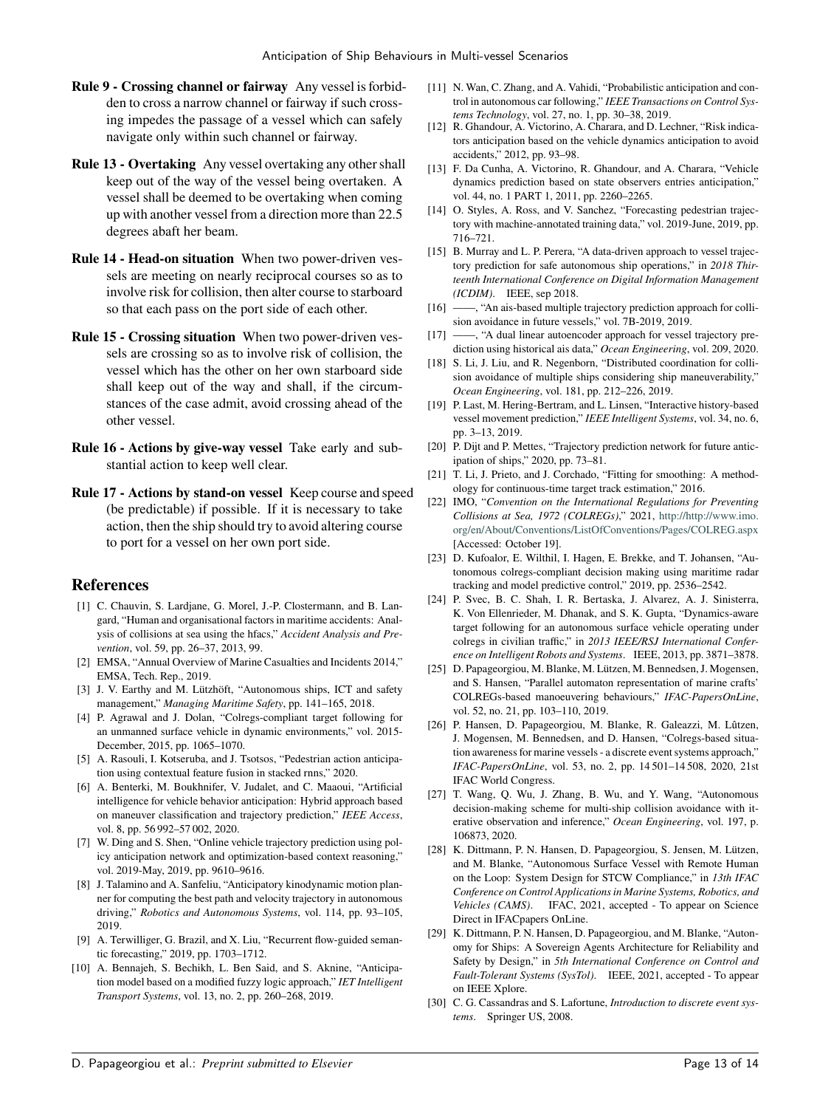- **Rule 9 Crossing channel or fairway** Any vessel is forbidden to cross a narrow channel or fairway if such crossing impedes the passage of a vessel which can safely navigate only within such channel or fairway.
- **Rule 13 Overtaking** Any vessel overtaking any other shall keep out of the way of the vessel being overtaken. A vessel shall be deemed to be overtaking when coming up with another vessel from a direction more than 22.5 degrees abaft her beam.
- **Rule 14 Head-on situation** When two power-driven vessels are meeting on nearly reciprocal courses so as to involve risk for collision, then alter course to starboard so that each pass on the port side of each other.
- **Rule 15 Crossing situation** When two power-driven vessels are crossing so as to involve risk of collision, the vessel which has the other on her own starboard side shall keep out of the way and shall, if the circumstances of the case admit, avoid crossing ahead of the other vessel.
- **Rule 16 Actions by give-way vessel** Take early and substantial action to keep well clear.
- **Rule 17 Actions by stand-on vessel** Keep course and speed (be predictable) if possible. If it is necessary to take action, then the ship should try to avoid altering course to port for a vessel on her own port side.

## **References**

- <span id="page-12-0"></span>[1] C. Chauvin, S. Lardjane, G. Morel, J.-P. Clostermann, and B. Langard, "Human and organisational factors in maritime accidents: Analysis of collisions at sea using the hfacs," *Accident Analysis and Prevention*, vol. 59, pp. 26–37, 2013, 99.
- <span id="page-12-1"></span>[2] EMSA, "Annual Overview of Marine Casualties and Incidents 2014," EMSA, Tech. Rep., 2019.
- <span id="page-12-2"></span>[3] J. V. Earthy and M. Lützhöft, "Autonomous ships, ICT and safety management," *Managing Maritime Safety*, pp. 141–165, 2018.
- <span id="page-12-3"></span>[4] P. Agrawal and J. Dolan, "Colregs-compliant target following for an unmanned surface vehicle in dynamic environments," vol. 2015- December, 2015, pp. 1065–1070.
- <span id="page-12-4"></span>[5] A. Rasouli, I. Kotseruba, and J. Tsotsos, "Pedestrian action anticipation using contextual feature fusion in stacked rnns," 2020.
- <span id="page-12-5"></span>[6] A. Benterki, M. Boukhnifer, V. Judalet, and C. Maaoui, "Artificial intelligence for vehicle behavior anticipation: Hybrid approach based on maneuver classification and trajectory prediction," *IEEE Access*, vol. 8, pp. 56 992–57 002, 2020.
- <span id="page-12-6"></span>[7] W. Ding and S. Shen, "Online vehicle trajectory prediction using policy anticipation network and optimization-based context reasoning," vol. 2019-May, 2019, pp. 9610–9616.
- <span id="page-12-7"></span>[8] J. Talamino and A. Sanfeliu, "Anticipatory kinodynamic motion planner for computing the best path and velocity trajectory in autonomous driving," *Robotics and Autonomous Systems*, vol. 114, pp. 93–105, 2019.
- <span id="page-12-8"></span>[9] A. Terwilliger, G. Brazil, and X. Liu, "Recurrent flow-guided semantic forecasting," 2019, pp. 1703–1712.
- <span id="page-12-9"></span>[10] A. Bennajeh, S. Bechikh, L. Ben Said, and S. Aknine, "Anticipation model based on a modified fuzzy logic approach," *IET Intelligent Transport Systems*, vol. 13, no. 2, pp. 260–268, 2019.
- <span id="page-12-10"></span>[11] N. Wan, C. Zhang, and A. Vahidi, "Probabilistic anticipation and control in autonomous car following," *IEEE Transactions on Control Systems Technology*, vol. 27, no. 1, pp. 30–38, 2019.
- <span id="page-12-11"></span>[12] R. Ghandour, A. Victorino, A. Charara, and D. Lechner, "Risk indicators anticipation based on the vehicle dynamics anticipation to avoid accidents," 2012, pp. 93–98.
- <span id="page-12-12"></span>[13] F. Da Cunha, A. Victorino, R. Ghandour, and A. Charara, "Vehicle dynamics prediction based on state observers entries anticipation," vol. 44, no. 1 PART 1, 2011, pp. 2260–2265.
- <span id="page-12-13"></span>[14] O. Styles, A. Ross, and V. Sanchez, "Forecasting pedestrian trajectory with machine-annotated training data," vol. 2019-June, 2019, pp. 716–721.
- <span id="page-12-14"></span>[15] B. Murray and L. P. Perera, "A data-driven approach to vessel trajectory prediction for safe autonomous ship operations," in *2018 Thirteenth International Conference on Digital Information Management (ICDIM)*. IEEE, sep 2018.<br>[16] —, "An ais-based multiple
- <span id="page-12-15"></span> $-$ , "An ais-based multiple trajectory prediction approach for collision avoidance in future vessels," vol. 7B-2019, 2019.
- <span id="page-12-16"></span>[17] ——, "A dual linear autoencoder approach for vessel trajectory prediction using historical ais data," *Ocean Engineering*, vol. 209, 2020.
- <span id="page-12-17"></span>[18] S. Li, J. Liu, and R. Negenborn, "Distributed coordination for collision avoidance of multiple ships considering ship maneuverability," *Ocean Engineering*, vol. 181, pp. 212–226, 2019.
- <span id="page-12-18"></span>[19] P. Last, M. Hering-Bertram, and L. Linsen, "Interactive history-based vessel movement prediction," *IEEE Intelligent Systems*, vol. 34, no. 6, pp. 3–13, 2019.
- <span id="page-12-19"></span>[20] P. Dijt and P. Mettes, "Trajectory prediction network for future anticipation of ships," 2020, pp. 73–81.
- <span id="page-12-20"></span>[21] T. Li, J. Prieto, and J. Corchado, "Fitting for smoothing: A methodology for continuous-time target track estimation," 2016.
- <span id="page-12-21"></span>[22] IMO, "*Convention on the International Regulations for Preventing Collisions at Sea, 1972 (COLREGs)*," 2021, [http://http://www.imo.](http://http://www.imo.org/en/About/Conventions/ListOfConventions/Pages/COLREG.aspx) [org/en/About/Conventions/ListOfConventions/Pages/COLREG.aspx](http://http://www.imo.org/en/About/Conventions/ListOfConventions/Pages/COLREG.aspx) [Accessed: October 19].
- <span id="page-12-22"></span>[23] D. Kufoalor, E. Wilthil, I. Hagen, E. Brekke, and T. Johansen, "Autonomous colregs-compliant decision making using maritime radar tracking and model predictive control," 2019, pp. 2536–2542.
- <span id="page-12-23"></span>[24] P. Svec, B. C. Shah, I. R. Bertaska, J. Alvarez, A. J. Sinisterra, K. Von Ellenrieder, M. Dhanak, and S. K. Gupta, "Dynamics-aware target following for an autonomous surface vehicle operating under colregs in civilian traffic," in *2013 IEEE/RSJ International Conference on Intelligent Robots and Systems*. IEEE, 2013, pp. 3871–3878.
- <span id="page-12-24"></span>[25] D. Papageorgiou, M. Blanke, M. Lützen, M. Bennedsen, J. Mogensen, and S. Hansen, "Parallel automaton representation of marine crafts' COLREGs-based manoeuvering behaviours," *IFAC-PapersOnLine*, vol. 52, no. 21, pp. 103–110, 2019.
- <span id="page-12-25"></span>[26] P. Hansen, D. Papageorgiou, M. Blanke, R. Galeazzi, M. Lûtzen, J. Mogensen, M. Bennedsen, and D. Hansen, "Colregs-based situation awareness for marine vessels - a discrete event systems approach," *IFAC-PapersOnLine*, vol. 53, no. 2, pp. 14 501–14 508, 2020, 21st IFAC World Congress.
- <span id="page-12-26"></span>[27] T. Wang, Q. Wu, J. Zhang, B. Wu, and Y. Wang, "Autonomous decision-making scheme for multi-ship collision avoidance with iterative observation and inference," *Ocean Engineering*, vol. 197, p. 106873, 2020.
- <span id="page-12-27"></span>[28] K. Dittmann, P. N. Hansen, D. Papageorgiou, S. Jensen, M. Lützen, and M. Blanke, "Autonomous Surface Vessel with Remote Human on the Loop: System Design for STCW Compliance," in *13th IFAC Conference on Control Applications in Marine Systems, Robotics, and Vehicles (CAMS)*. IFAC, 2021, accepted - To appear on Science Direct in IFACpapers OnLine.
- <span id="page-12-28"></span>[29] K. Dittmann, P. N. Hansen, D. Papageorgiou, and M. Blanke, "Autonomy for Ships: A Sovereign Agents Architecture for Reliability and Safety by Design," in *5th International Conference on Control and Fault-Tolerant Systems (SysTol)*. IEEE, 2021, accepted - To appear on IEEE Xplore.
- <span id="page-12-29"></span>[30] C. G. Cassandras and S. Lafortune, *Introduction to discrete event systems*. Springer US, 2008.